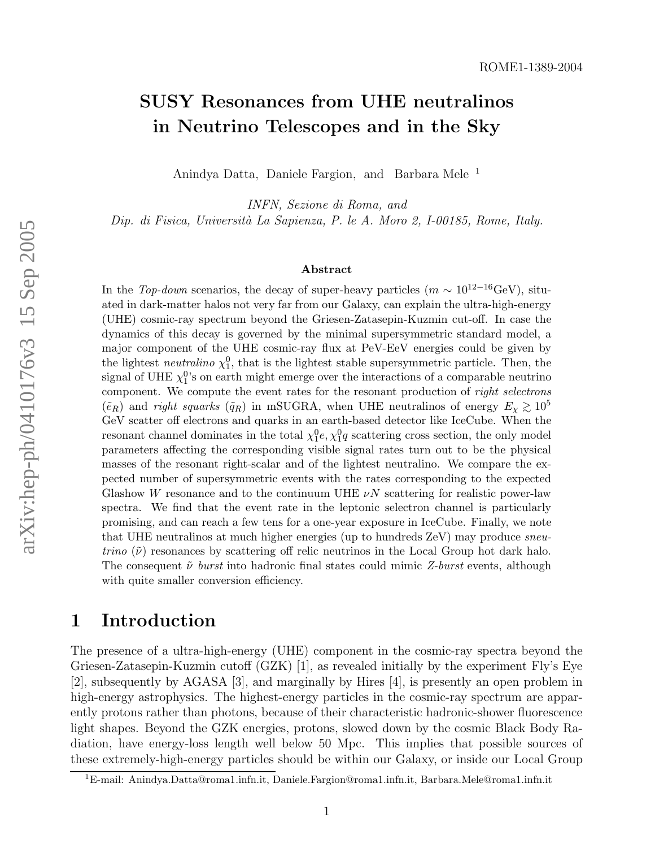# SUSY Resonances from UHE neutralinos in Neutrino Telescopes and in the Sky

Anindya Datta, Daniele Fargion, and Barbara Mele 1

INFN, Sezione di Roma, and Dip. di Fisica, Universit`a La Sapienza, P. le A. Moro 2, I-00185, Rome, Italy.

#### Abstract

In the Top-down scenarios, the decay of super-heavy particles  $(m \sim 10^{12-16} \text{GeV})$ , situated in dark-matter halos not very far from our Galaxy, can explain the ultra-high-energy (UHE) cosmic-ray spectrum beyond the Griesen-Zatasepin-Kuzmin cut-off. In case the dynamics of this decay is governed by the minimal supersymmetric standard model, a major component of the UHE cosmic-ray flux at PeV-EeV energies could be given by the lightest *neutralino*  $\chi_1^0$ , that is the lightest stable supersymmetric particle. Then, the signal of UHE  $\chi_1^0$ 's on earth might emerge over the interactions of a comparable neutrino component. We compute the event rates for the resonant production of *right selectrons*  $(\tilde{e}_R)$  and *right squarks*  $(\tilde{q}_R)$  in mSUGRA, when UHE neutralinos of energy  $E_\chi \gtrsim 10^5$ GeV scatter off electrons and quarks in an earth-based detector like IceCube. When the resonant channel dominates in the total  $\chi_1^0$ e,  $\chi_1^0$ q scattering cross section, the only model parameters affecting the corresponding visible signal rates turn out to be the physical masses of the resonant right-scalar and of the lightest neutralino. We compare the expected number of supersymmetric events with the rates corresponding to the expected Glashow W resonance and to the continuum UHE  $\nu N$  scattering for realistic power-law spectra. We find that the event rate in the leptonic selectron channel is particularly promising, and can reach a few tens for a one-year exposure in IceCube. Finally, we note that UHE neutralinos at much higher energies (up to hundreds ZeV) may produce sneu*trino*  $(\tilde{\nu})$  resonances by scattering off relic neutrinos in the Local Group hot dark halo. The consequent  $\tilde{\nu}$  burst into hadronic final states could mimic Z-burst events, although with quite smaller conversion efficiency.

#### 1 Introduction

The presence of a ultra-high-energy (UHE) component in the cosmic-ray spectra beyond the Griesen-Zatasepin-Kuzmin cutoff (GZK) [1], as revealed initially by the experiment Fly's Eye [2], subsequently by AGASA [3], and marginally by Hires [4], is presently an open problem in high-energy astrophysics. The highest-energy particles in the cosmic-ray spectrum are apparently protons rather than photons, because of their characteristic hadronic-shower fluorescence light shapes. Beyond the GZK energies, protons, slowed down by the cosmic Black Body Radiation, have energy-loss length well below 50 Mpc. This implies that possible sources of these extremely-high-energy particles should be within our Galaxy, or inside our Local Group

<sup>1</sup>E-mail: Anindya.Datta@roma1.infn.it, Daniele.Fargion@roma1.infn.it, Barbara.Mele@roma1.infn.it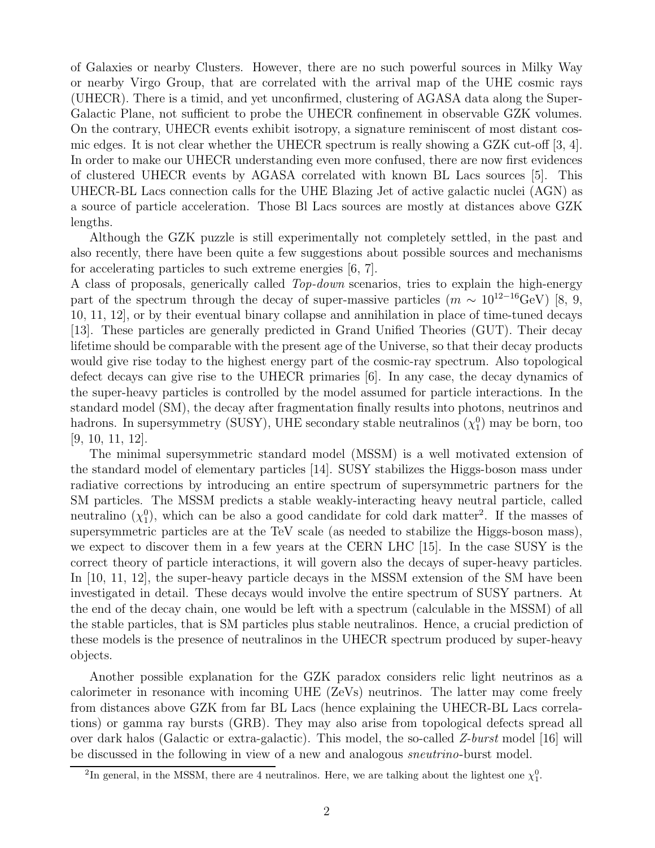of Galaxies or nearby Clusters. However, there are no such powerful sources in Milky Way or nearby Virgo Group, that are correlated with the arrival map of the UHE cosmic rays (UHECR). There is a timid, and yet unconfirmed, clustering of AGASA data along the Super-Galactic Plane, not sufficient to probe the UHECR confinement in observable GZK volumes. On the contrary, UHECR events exhibit isotropy, a signature reminiscent of most distant cosmic edges. It is not clear whether the UHECR spectrum is really showing a GZK cut-off [3, 4]. In order to make our UHECR understanding even more confused, there are now first evidences of clustered UHECR events by AGASA correlated with known BL Lacs sources [5]. This UHECR-BL Lacs connection calls for the UHE Blazing Jet of active galactic nuclei (AGN) as a source of particle acceleration. Those Bl Lacs sources are mostly at distances above GZK lengths.

Although the GZK puzzle is still experimentally not completely settled, in the past and also recently, there have been quite a few suggestions about possible sources and mechanisms for accelerating particles to such extreme energies [6, 7].

A class of proposals, generically called Top-down scenarios, tries to explain the high-energy part of the spectrum through the decay of super-massive particles ( $m \sim 10^{12-16}$ GeV) [8, 9, 10, 11, 12], or by their eventual binary collapse and annihilation in place of time-tuned decays [13]. These particles are generally predicted in Grand Unified Theories (GUT). Their decay lifetime should be comparable with the present age of the Universe, so that their decay products would give rise today to the highest energy part of the cosmic-ray spectrum. Also topological defect decays can give rise to the UHECR primaries [6]. In any case, the decay dynamics of the super-heavy particles is controlled by the model assumed for particle interactions. In the standard model (SM), the decay after fragmentation finally results into photons, neutrinos and hadrons. In supersymmetry (SUSY), UHE secondary stable neutralinos  $(\chi_1^0)$  may be born, too [9, 10, 11, 12].

The minimal supersymmetric standard model (MSSM) is a well motivated extension of the standard model of elementary particles [14]. SUSY stabilizes the Higgs-boson mass under radiative corrections by introducing an entire spectrum of supersymmetric partners for the SM particles. The MSSM predicts a stable weakly-interacting heavy neutral particle, called neutralino  $(\chi_1^0)$ , which can be also a good candidate for cold dark matter<sup>2</sup>. If the masses of supersymmetric particles are at the TeV scale (as needed to stabilize the Higgs-boson mass), we expect to discover them in a few years at the CERN LHC [15]. In the case SUSY is the correct theory of particle interactions, it will govern also the decays of super-heavy particles. In [10, 11, 12], the super-heavy particle decays in the MSSM extension of the SM have been investigated in detail. These decays would involve the entire spectrum of SUSY partners. At the end of the decay chain, one would be left with a spectrum (calculable in the MSSM) of all the stable particles, that is SM particles plus stable neutralinos. Hence, a crucial prediction of these models is the presence of neutralinos in the UHECR spectrum produced by super-heavy objects.

Another possible explanation for the GZK paradox considers relic light neutrinos as a calorimeter in resonance with incoming UHE (ZeVs) neutrinos. The latter may come freely from distances above GZK from far BL Lacs (hence explaining the UHECR-BL Lacs correlations) or gamma ray bursts (GRB). They may also arise from topological defects spread all over dark halos (Galactic or extra-galactic). This model, the so-called  $Z$ -burst model [16] will be discussed in the following in view of a new and analogous sneutrino-burst model.

<sup>&</sup>lt;sup>2</sup>In general, in the MSSM, there are 4 neutralinos. Here, we are talking about the lightest one  $\chi_1^0$ .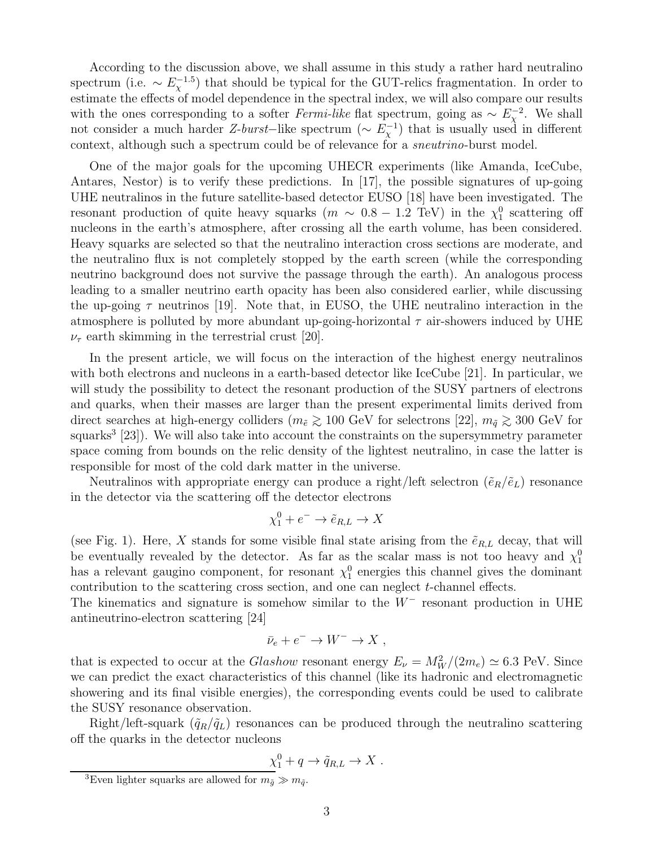According to the discussion above, we shall assume in this study a rather hard neutralino spectrum (i.e.  $\sim E_{\chi}^{-1.5}$ ) that should be typical for the GUT-relics fragmentation. In order to estimate the effects of model dependence in the spectral index, we will also compare our results with the ones corresponding to a softer Fermi-like flat spectrum, going as  $\sim E_{\chi}^{-2}$ . We shall not consider a much harder Z-burst–like spectrum ( $\sim E_{\chi}^{-1}$ ) that is usually used in different context, although such a spectrum could be of relevance for a *sneutrino*-burst model.

One of the major goals for the upcoming UHECR experiments (like Amanda, IceCube, Antares, Nestor) is to verify these predictions. In [17], the possible signatures of up-going UHE neutralinos in the future satellite-based detector EUSO [18] have been investigated. The resonant production of quite heavy squarks  $(m \sim 0.8 - 1.2 \text{ TeV})$  in the  $\chi_1^0$  scattering off nucleons in the earth's atmosphere, after crossing all the earth volume, has been considered. Heavy squarks are selected so that the neutralino interaction cross sections are moderate, and the neutralino flux is not completely stopped by the earth screen (while the corresponding neutrino background does not survive the passage through the earth). An analogous process leading to a smaller neutrino earth opacity has been also considered earlier, while discussing the up-going  $\tau$  neutrinos [19]. Note that, in EUSO, the UHE neutralino interaction in the atmosphere is polluted by more abundant up-going-horizontal  $\tau$  air-showers induced by UHE  $\nu_{\tau}$  earth skimming in the terrestrial crust [20].

In the present article, we will focus on the interaction of the highest energy neutralinos with both electrons and nucleons in a earth-based detector like IceCube [21]. In particular, we will study the possibility to detect the resonant production of the SUSY partners of electrons and quarks, when their masses are larger than the present experimental limits derived from direct searches at high-energy colliders ( $m_{\tilde{e}} \gtrsim 100$  GeV for selectrons [22],  $m_{\tilde{q}} \gtrsim 300$  GeV for squarks<sup>3</sup> [23]). We will also take into account the constraints on the supersymmetry parameter space coming from bounds on the relic density of the lightest neutralino, in case the latter is responsible for most of the cold dark matter in the universe.

Neutralinos with appropriate energy can produce a right/left selectron  $(\tilde{e}_R/\tilde{e}_L)$  resonance in the detector via the scattering off the detector electrons

$$
\chi_1^0 + e^- \to \tilde{e}_{R,L} \to X
$$

(see Fig. 1). Here, X stands for some visible final state arising from the  $\tilde{e}_{R,L}$  decay, that will be eventually revealed by the detector. As far as the scalar mass is not too heavy and  $\chi_1^0$ has a relevant gaugino component, for resonant  $\chi_1^0$  energies this channel gives the dominant contribution to the scattering cross section, and one can neglect  $t$ -channel effects.

The kinematics and signature is somehow similar to the  $W^-$  resonant production in UHE antineutrino-electron scattering [24]

$$
\bar{\nu}_e + e^- \to W^- \to X ,
$$

that is expected to occur at the *Glashow* resonant energy  $E_{\nu} = M_W^2/(2m_e) \simeq 6.3$  PeV. Since we can predict the exact characteristics of this channel (like its hadronic and electromagnetic showering and its final visible energies), the corresponding events could be used to calibrate the SUSY resonance observation.

Right/left-squark  $(\tilde{q}_R/\tilde{q}_L)$  resonances can be produced through the neutralino scattering off the quarks in the detector nucleons

$$
\underline{\chi}_1^0 + q \to \tilde{q}_{R,L} \to X .
$$

<sup>&</sup>lt;sup>3</sup>Even lighter squarks are allowed for  $m_{\tilde{g}} \gg m_{\tilde{q}}$ .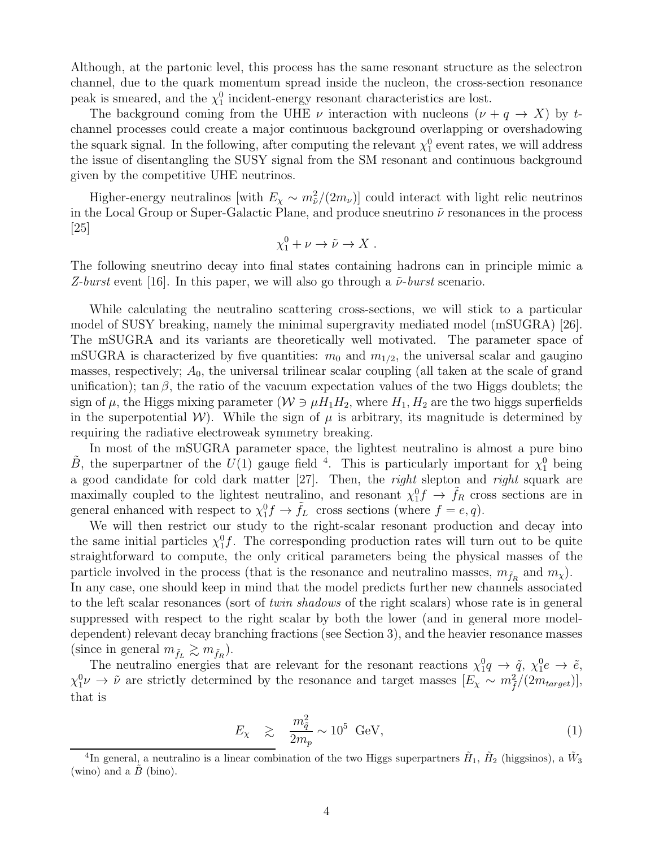Although, at the partonic level, this process has the same resonant structure as the selectron channel, due to the quark momentum spread inside the nucleon, the cross-section resonance peak is smeared, and the  $\chi_1^0$  incident-energy resonant characteristics are lost.

The background coming from the UHE  $\nu$  interaction with nucleons  $(\nu + q \rightarrow X)$  by tchannel processes could create a major continuous background overlapping or overshadowing the squark signal. In the following, after computing the relevant  $\chi_1^0$  event rates, we will address the issue of disentangling the SUSY signal from the SM resonant and continuous background given by the competitive UHE neutrinos.

Higher-energy neutralinos [with  $E_\chi \sim m_{\tilde{\nu}}^2/(2m_\nu)$ ] could interact with light relic neutrinos in the Local Group or Super-Galactic Plane, and produce sneutrino  $\tilde{\nu}$  resonances in the process [25]

$$
\chi^0_1+\nu\to\tilde\nu\to X\ .
$$

The following sneutrino decay into final states containing hadrons can in principle mimic a Z-burst event [16]. In this paper, we will also go through a  $\tilde{\nu}$ -burst scenario.

While calculating the neutralino scattering cross-sections, we will stick to a particular model of SUSY breaking, namely the minimal supergravity mediated model (mSUGRA) [26]. The mSUGRA and its variants are theoretically well motivated. The parameter space of mSUGRA is characterized by five quantities:  $m_0$  and  $m_{1/2}$ , the universal scalar and gaugino masses, respectively;  $A_0$ , the universal trilinear scalar coupling (all taken at the scale of grand unification); tan  $\beta$ , the ratio of the vacuum expectation values of the two Higgs doublets; the sign of  $\mu$ , the Higgs mixing parameter  $(\mathcal{W} \ni \mu H_1 H_2)$ , where  $H_1, H_2$  are the two higgs superfields in the superpotential W). While the sign of  $\mu$  is arbitrary, its magnitude is determined by requiring the radiative electroweak symmetry breaking.

In most of the mSUGRA parameter space, the lightest neutralino is almost a pure bino  $\tilde{B}$ , the superpartner of the  $U(1)$  gauge field <sup>4</sup>. This is particularly important for  $\chi_1^0$  being a good candidate for cold dark matter [27]. Then, the right slepton and right squark are maximally coupled to the lightest neutralino, and resonant  $\chi_1^0 f \to \tilde{f}_R$  cross sections are in general enhanced with respect to  $\chi_1^0 f \to \tilde{f}_L$  cross sections (where  $f = e, q$ ).

We will then restrict our study to the right-scalar resonant production and decay into the same initial particles  $\chi_1^0 f$ . The corresponding production rates will turn out to be quite straightforward to compute, the only critical parameters being the physical masses of the particle involved in the process (that is the resonance and neutralino masses,  $m_{\tilde{f}_R}$  and  $m_\chi$ ). In any case, one should keep in mind that the model predicts further new channels associated to the left scalar resonances (sort of twin shadows of the right scalars) whose rate is in general suppressed with respect to the right scalar by both the lower (and in general more modeldependent) relevant decay branching fractions (see Section 3), and the heavier resonance masses (since in general  $m_{\tilde{f}_L} \gtrsim m_{\tilde{f}_R}$ ).

The neutralino energies that are relevant for the resonant reactions  $\chi_1^0 q \to \tilde{q}$ ,  $\chi_1^0 e \to \tilde{e}$ ,  $\chi_1^0 \nu \to \tilde{\nu}$  are strictly determined by the resonance and target masses  $[E_\chi \sim m_{\tilde{f}}^2/(2m_{target})],$ that is

$$
E_{\chi} \geq \frac{m_{\tilde{q}}^2}{2m_p} \sim 10^5 \text{ GeV},\tag{1}
$$

<sup>&</sup>lt;sup>4</sup>In general, a neutralino is a linear combination of the two Higgs superpartners  $H_1$ ,  $H_2$  (higgsinos), a  $\tilde{W}_3$ (wino) and a  $B$  (bino).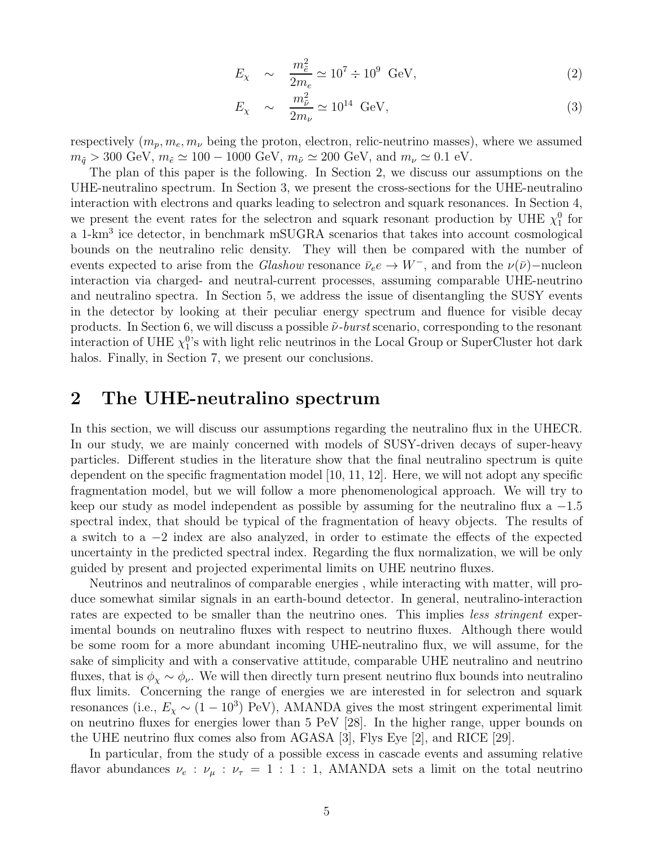$$
E_{\chi} \sim \frac{m_{\tilde{e}}^2}{2m_e} \simeq 10^7 \div 10^9 \text{ GeV}, \tag{2}
$$

$$
E_{\chi} \sim \frac{m_{\tilde{\nu}}^2}{2m_{\nu}} \simeq 10^{14} \text{ GeV},\tag{3}
$$

respectively  $(m_p, m_e, m_\nu)$  being the proton, electron, relic-neutrino masses), where we assumed  $m_{\tilde{q}} > 300 \text{ GeV}, m_{\tilde{e}} \simeq 100 - 1000 \text{ GeV}, m_{\tilde{\nu}} \simeq 200 \text{ GeV}, \text{ and } m_{\nu} \simeq 0.1 \text{ eV}.$ 

The plan of this paper is the following. In Section 2, we discuss our assumptions on the UHE-neutralino spectrum. In Section 3, we present the cross-sections for the UHE-neutralino interaction with electrons and quarks leading to selectron and squark resonances. In Section 4, we present the event rates for the selectron and squark resonant production by UHE  $\chi_1^0$  for a 1-km<sup>3</sup> ice detector, in benchmark mSUGRA scenarios that takes into account cosmological bounds on the neutralino relic density. They will then be compared with the number of events expected to arise from the Glashow resonance  $\bar{\nu}_e e \to W^-$ , and from the  $\nu(\bar{\nu})$ –nucleon interaction via charged- and neutral-current processes, assuming comparable UHE-neutrino and neutralino spectra. In Section 5, we address the issue of disentangling the SUSY events in the detector by looking at their peculiar energy spectrum and fluence for visible decay products. In Section 6, we will discuss a possible  $\tilde{\nu}$ -burst scenario, corresponding to the resonant interaction of UHE  $\chi_1^{0}$ 's with light relic neutrinos in the Local Group or SuperCluster hot dark halos. Finally, in Section 7, we present our conclusions.

### 2 The UHE-neutralino spectrum

In this section, we will discuss our assumptions regarding the neutralino flux in the UHECR. In our study, we are mainly concerned with models of SUSY-driven decays of super-heavy particles. Different studies in the literature show that the final neutralino spectrum is quite dependent on the specific fragmentation model [10, 11, 12]. Here, we will not adopt any specific fragmentation model, but we will follow a more phenomenological approach. We will try to keep our study as model independent as possible by assuming for the neutralino flux a  $-1.5$ spectral index, that should be typical of the fragmentation of heavy objects. The results of a switch to a −2 index are also analyzed, in order to estimate the effects of the expected uncertainty in the predicted spectral index. Regarding the flux normalization, we will be only guided by present and projected experimental limits on UHE neutrino fluxes.

Neutrinos and neutralinos of comparable energies , while interacting with matter, will produce somewhat similar signals in an earth-bound detector. In general, neutralino-interaction rates are expected to be smaller than the neutrino ones. This implies *less stringent* experimental bounds on neutralino fluxes with respect to neutrino fluxes. Although there would be some room for a more abundant incoming UHE-neutralino flux, we will assume, for the sake of simplicity and with a conservative attitude, comparable UHE neutralino and neutrino fluxes, that is  $\phi_{\chi} \sim \phi_{\nu}$ . We will then directly turn present neutrino flux bounds into neutralino flux limits. Concerning the range of energies we are interested in for selectron and squark resonances (i.e.,  $E_\chi \sim (1-10^3)$  PeV), AMANDA gives the most stringent experimental limit on neutrino fluxes for energies lower than 5 PeV [28]. In the higher range, upper bounds on the UHE neutrino flux comes also from AGASA [3], Flys Eye [2], and RICE [29].

In particular, from the study of a possible excess in cascade events and assuming relative flavor abundances  $\nu_e : \nu_\mu : \nu_\tau = 1 : 1 : 1$ , AMANDA sets a limit on the total neutrino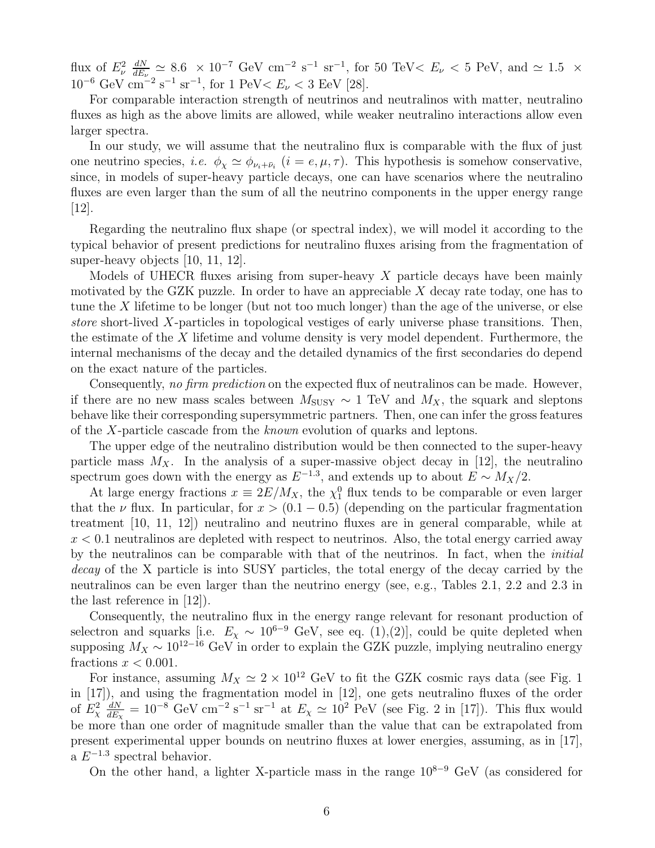flux of  $E_{\nu}^2$   $\frac{dN}{dE_{\nu}}$  $\frac{dN}{dE_\nu} \simeq 8.6 \times 10^{-7} \text{ GeV cm}^{-2} \text{ s}^{-1} \text{ sr}^{-1}$ , for 50 TeV <  $E_\nu$  < 5 PeV, and  $\simeq 1.5 \times$  $10^{-6}$  GeV cm<sup>-2</sup> s<sup>-1</sup> sr<sup>-1</sup>, for 1 PeV k $E_{\nu}$  < 3 EeV [28].

For comparable interaction strength of neutrinos and neutralinos with matter, neutralino fluxes as high as the above limits are allowed, while weaker neutralino interactions allow even larger spectra.

In our study, we will assume that the neutralino flux is comparable with the flux of just one neutrino species, *i.e.*  $\phi_{\chi} \simeq \phi_{\nu_i + \bar{\nu}_i}$  ( $i = e, \mu, \tau$ ). This hypothesis is somehow conservative, since, in models of super-heavy particle decays, one can have scenarios where the neutralino fluxes are even larger than the sum of all the neutrino components in the upper energy range [12].

Regarding the neutralino flux shape (or spectral index), we will model it according to the typical behavior of present predictions for neutralino fluxes arising from the fragmentation of super-heavy objects [10, 11, 12].

Models of UHECR fluxes arising from super-heavy  $X$  particle decays have been mainly motivated by the GZK puzzle. In order to have an appreciable  $X$  decay rate today, one has to tune the X lifetime to be longer (but not too much longer) than the age of the universe, or else store short-lived X-particles in topological vestiges of early universe phase transitions. Then, the estimate of the X lifetime and volume density is very model dependent. Furthermore, the internal mechanisms of the decay and the detailed dynamics of the first secondaries do depend on the exact nature of the particles.

Consequently, no firm prediction on the expected flux of neutralinos can be made. However, if there are no new mass scales between  $M_{\text{SUSY}} \sim 1 \text{ TeV}$  and  $M_X$ , the squark and sleptons behave like their corresponding supersymmetric partners. Then, one can infer the gross features of the X-particle cascade from the known evolution of quarks and leptons.

The upper edge of the neutralino distribution would be then connected to the super-heavy particle mass  $M_X$ . In the analysis of a super-massive object decay in [12], the neutralino spectrum goes down with the energy as  $E^{-1.3}$ , and extends up to about  $E \sim M_X/2$ .

At large energy fractions  $x \equiv 2E/M_X$ , the  $\chi_1^0$  flux tends to be comparable or even larger that the  $\nu$  flux. In particular, for  $x > (0.1 - 0.5)$  (depending on the particular fragmentation treatment [10, 11, 12]) neutralino and neutrino fluxes are in general comparable, while at  $x < 0.1$  neutralinos are depleted with respect to neutrinos. Also, the total energy carried away by the neutralinos can be comparable with that of the neutrinos. In fact, when the initial decay of the X particle is into SUSY particles, the total energy of the decay carried by the neutralinos can be even larger than the neutrino energy (see, e.g., Tables 2.1, 2.2 and 2.3 in the last reference in [12]).

Consequently, the neutralino flux in the energy range relevant for resonant production of selectron and squarks [i.e.  $E_\chi \sim 10^{6-9}$  GeV, see eq. (1),(2)], could be quite depleted when supposing  $M_X \sim 10^{12-16}$  GeV in order to explain the GZK puzzle, implying neutralino energy fractions  $x < 0.001$ .

For instance, assuming  $M_X \simeq 2 \times 10^{12}$  GeV to fit the GZK cosmic rays data (see Fig. 1) in [17]), and using the fragmentation model in [12], one gets neutralino fluxes of the order of  $E^2_\chi \frac{dN}{dE_\gamma}$  $\frac{dN}{dE_\chi} = 10^{-8} \text{ GeV cm}^{-2} \text{ s}^{-1} \text{ sr}^{-1}$  at  $E_\chi \simeq 10^2 \text{ PeV}$  (see Fig. 2 in [17]). This flux would be more than one order of magnitude smaller than the value that can be extrapolated from present experimental upper bounds on neutrino fluxes at lower energies, assuming, as in [17],  $a E^{-1.3}$  spectral behavior.

On the other hand, a lighter X-particle mass in the range  $10^{8-9}$  GeV (as considered for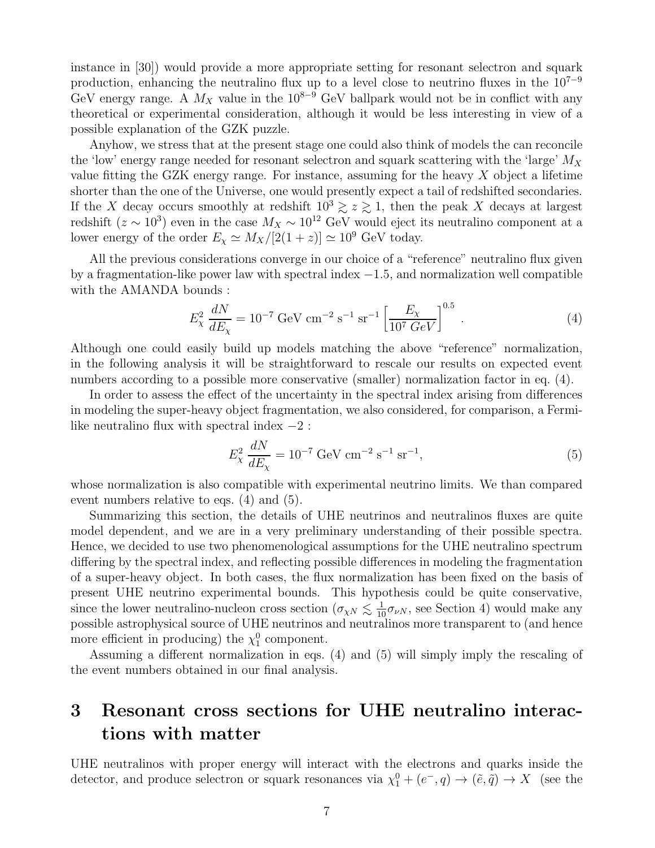instance in [30]) would provide a more appropriate setting for resonant selectron and squark production, enhancing the neutralino flux up to a level close to neutrino fluxes in the  $10^{7-9}$ GeV energy range. A  $M_X$  value in the 10<sup>8−9</sup> GeV ballpark would not be in conflict with any theoretical or experimental consideration, although it would be less interesting in view of a possible explanation of the GZK puzzle.

Anyhow, we stress that at the present stage one could also think of models the can reconcile the 'low' energy range needed for resonant selectron and squark scattering with the 'large'  $M_X$ value fitting the GZK energy range. For instance, assuming for the heavy  $X$  object a lifetime shorter than the one of the Universe, one would presently expect a tail of redshifted secondaries. If the X decay occurs smoothly at redshift  $10^3 \gtrsim z \gtrsim 1$ , then the peak X decays at largest redshift ( $z \sim 10^3$ ) even in the case  $M_X \sim 10^{12}$  GeV would eject its neutralino component at a lower energy of the order  $E_\chi \simeq M_X/[2(1+z)] \simeq 10^9$  GeV today.

All the previous considerations converge in our choice of a "reference" neutralino flux given by a fragmentation-like power law with spectral index  $-1.5$ , and normalization well compatible with the AMANDA bounds :

$$
E_{\chi}^{2} \frac{dN}{dE_{\chi}} = 10^{-7} \text{ GeV cm}^{-2} \text{ s}^{-1} \text{ sr}^{-1} \left[ \frac{E_{\chi}}{10^{7} \text{ GeV}} \right]^{0.5} . \tag{4}
$$

Although one could easily build up models matching the above "reference" normalization, in the following analysis it will be straightforward to rescale our results on expected event numbers according to a possible more conservative (smaller) normalization factor in eq. (4).

In order to assess the effect of the uncertainty in the spectral index arising from differences in modeling the super-heavy object fragmentation, we also considered, for comparison, a Fermilike neutralino flux with spectral index  $-2$ :

$$
E_{\chi}^{2} \frac{dN}{dE_{\chi}} = 10^{-7} \text{ GeV cm}^{-2} \text{ s}^{-1} \text{ sr}^{-1}, \qquad (5)
$$

whose normalization is also compatible with experimental neutrino limits. We than compared event numbers relative to eqs. (4) and (5).

Summarizing this section, the details of UHE neutrinos and neutralinos fluxes are quite model dependent, and we are in a very preliminary understanding of their possible spectra. Hence, we decided to use two phenomenological assumptions for the UHE neutralino spectrum differing by the spectral index, and reflecting possible differences in modeling the fragmentation of a super-heavy object. In both cases, the flux normalization has been fixed on the basis of present UHE neutrino experimental bounds. This hypothesis could be quite conservative, since the lower neutralino-nucleon cross section  $(\sigma_{\chi N} \lesssim \frac{1}{10} \sigma_{\nu N}$ , see Section 4) would make any possible astrophysical source of UHE neutrinos and neutralinos more transparent to (and hence more efficient in producing) the  $\chi_1^0$  component.

Assuming a different normalization in eqs. (4) and (5) will simply imply the rescaling of the event numbers obtained in our final analysis.

## 3 Resonant cross sections for UHE neutralino interactions with matter

UHE neutralinos with proper energy will interact with the electrons and quarks inside the detector, and produce selectron or squark resonances via  $\chi_1^0 + (e^-, q) \to (\tilde{e}, \tilde{q}) \to X$  (see the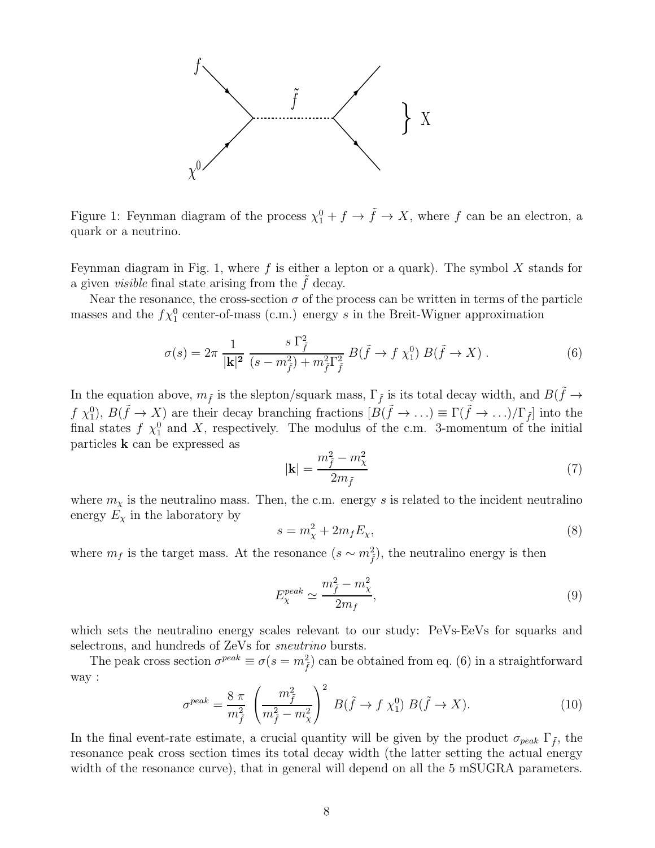

Figure 1: Feynman diagram of the process  $\chi_1^0 + f \to \tilde{f} \to X$ , where f can be an electron, a quark or a neutrino.

Feynman diagram in Fig. 1, where f is either a lepton or a quark). The symbol X stands for a given *visible* final state arising from the  $f$  decay.

Near the resonance, the cross-section  $\sigma$  of the process can be written in terms of the particle masses and the  $f\chi_1^0$  center-of-mass (c.m.) energy s in the Breit-Wigner approximation

$$
\sigma(s) = 2\pi \frac{1}{|\mathbf{k}|^2} \frac{s \Gamma_f^2}{(s - m_{\tilde{f}}^2) + m_{\tilde{f}}^2 \Gamma_{\tilde{f}}^2} B(\tilde{f} \to f \chi_1^0) B(\tilde{f} \to X) . \tag{6}
$$

In the equation above,  $m_{\tilde{f}}$  is the slepton/squark mass,  $\Gamma_{\tilde{f}}$  is its total decay width, and  $B(\tilde{f} \to$  $f \chi_1^0$ ,  $B(\tilde{f} \to X)$  are their decay branching fractions  $[B(\tilde{f} \to \ldots) \equiv \Gamma(\tilde{f} \to \ldots)/\Gamma_{\tilde{f}}]$  into the final states f  $\chi_1^0$  and X, respectively. The modulus of the c.m. 3-momentum of the initial particles k can be expressed as

$$
|\mathbf{k}| = \frac{m_{\tilde{f}}^2 - m_{\chi}^2}{2m_{\tilde{f}}}
$$
 (7)

where  $m_{\chi}$  is the neutralino mass. Then, the c.m. energy s is related to the incident neutralino energy  $E_{\chi}$  in the laboratory by

$$
s = m_{\chi}^2 + 2m_f E_{\chi},\tag{8}
$$

where  $m_f$  is the target mass. At the resonance  $(s \sim m_{\tilde{f}}^2)$ , the neutralino energy is then

$$
E_{\chi}^{peak} \simeq \frac{m_{\tilde{f}}^2 - m_{\chi}^2}{2m_f},\tag{9}
$$

which sets the neutralino energy scales relevant to our study: PeVs-EeVs for squarks and selectrons, and hundreds of ZeVs for sneutrino bursts.

The peak cross section  $\sigma^{peak} \equiv \sigma(s = m_{\tilde{f}}^2)$  can be obtained from eq. (6) in a straightforward way :

$$
\sigma^{peak} = \frac{8 \pi}{m_{\tilde{f}}^2} \left(\frac{m_{\tilde{f}}^2}{m_{\tilde{f}}^2 - m_{\chi}^2}\right)^2 B(\tilde{f} \to f \chi_1^0) B(\tilde{f} \to X).
$$
 (10)

In the final event-rate estimate, a crucial quantity will be given by the product  $\sigma_{peak} \Gamma_{\tilde{f}}$ , the resonance peak cross section times its total decay width (the latter setting the actual energy width of the resonance curve), that in general will depend on all the 5 mSUGRA parameters.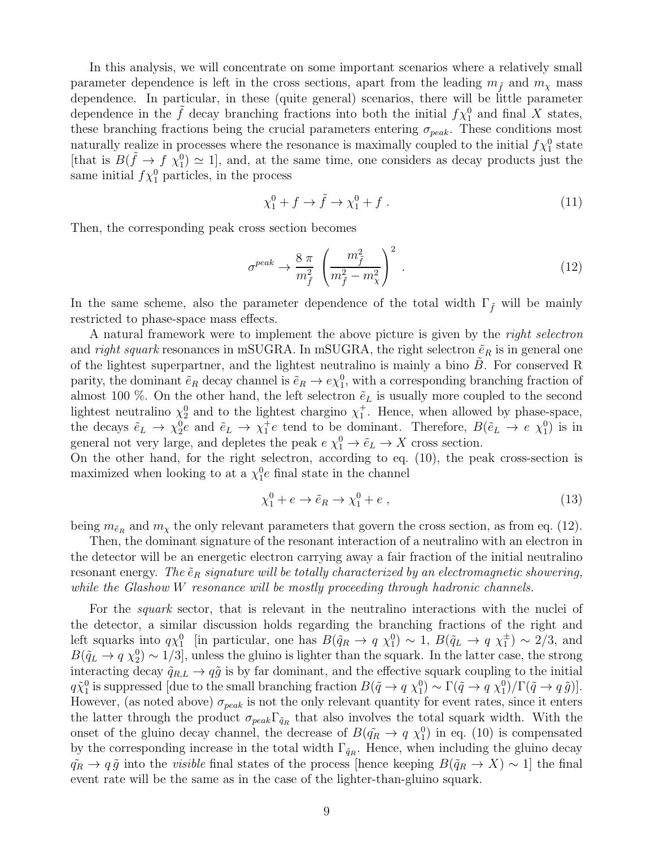In this analysis, we will concentrate on some important scenarios where a relatively small parameter dependence is left in the cross sections, apart from the leading  $m_{\tilde{f}}$  and  $m_{\chi}$  mass dependence. In particular, in these (quite general) scenarios, there will be little parameter dependence in the  $\tilde{f}$  decay branching fractions into both the initial  $f\chi_1^0$  and final X states, these branching fractions being the crucial parameters entering  $\sigma_{peak}$ . These conditions most naturally realize in processes where the resonance is maximally coupled to the initial  $f\chi_1^0$  state [that is  $B(\tilde{f} \to f \chi_1^0) \simeq 1$ ], and, at the same time, one considers as decay products just the same initial  $f\chi_1^0$  particles, in the process

$$
\chi_1^0 + f \to \tilde{f} \to \chi_1^0 + f \tag{11}
$$

Then, the corresponding peak cross section becomes

$$
\sigma^{peak} \to \frac{8 \pi}{m_{\tilde{f}}^2} \left(\frac{m_{\tilde{f}}^2}{m_{\tilde{f}}^2 - m_{\chi}^2}\right)^2 \,. \tag{12}
$$

In the same scheme, also the parameter dependence of the total width  $\Gamma_{\tilde{f}}$  will be mainly restricted to phase-space mass effects.

A natural framework were to implement the above picture is given by the right selectron and right squark resonances in mSUGRA. In mSUGRA, the right selectron  $\tilde{e}_R$  is in general one of the lightest superpartner, and the lightest neutralino is mainly a bino  $B$ . For conserved R parity, the dominant  $\tilde{e}_R$  decay channel is  $\tilde{e}_R \to e \chi_1^0$ , with a corresponding branching fraction of almost 100 %. On the other hand, the left selectron  $\tilde{e}_L$  is usually more coupled to the second lightest neutralino  $\chi_2^0$  and to the lightest chargino  $\chi_1^+$ . Hence, when allowed by phase-space, the decays  $\tilde{e}_L \to \chi_2^0 \tilde{e}$  and  $\tilde{e}_L \to \chi_1^+ e$  tend to be dominant. Therefore,  $B(\tilde{e}_L \to e \chi_1^0)$  is in general not very large, and depletes the peak  $e \chi_1^0 \to \tilde{e}_L \to X$  cross section.

On the other hand, for the right selectron, according to eq. (10), the peak cross-section is maximized when looking to at a  $\chi_1^0 e$  final state in the channel

$$
\chi_1^0 + e \to \tilde{e}_R \to \chi_1^0 + e \,, \tag{13}
$$

being  $m_{\tilde{e}_R}$  and  $m_\chi$  the only relevant parameters that govern the cross section, as from eq. (12).

Then, the dominant signature of the resonant interaction of a neutralino with an electron in the detector will be an energetic electron carrying away a fair fraction of the initial neutralino resonant energy. The  $\tilde{e}_R$  signature will be totally characterized by an electromagnetic showering, while the Glashow W resonance will be mostly proceeding through hadronic channels.

For the *squark* sector, that is relevant in the neutralino interactions with the nuclei of the detector, a similar discussion holds regarding the branching fractions of the right and left squarks into  $q\chi_1^0$  [in particular, one has  $B(\tilde{q}_R \to q \chi_1^0) \sim 1$ ,  $B(\tilde{q}_L \to q \chi_1^{\pm}) \sim 2/3$ , and  $B(\tilde{q}_L \to q \chi_2^0) \sim 1/3$ , unless the gluino is lighter than the squark. In the latter case, the strong interacting decay  $\tilde{q}_{R,L} \rightarrow q\tilde{g}$  is by far dominant, and the effective squark coupling to the initial  $q\tilde{\chi}_1^0$  is suppressed [due to the small branching fraction  $B(\tilde{q} \to q \chi_1^0) \sim \Gamma(\tilde{q} \to q \chi_1^0)/\Gamma(\tilde{q} \to q \tilde{g})$ ]. However, (as noted above)  $\sigma_{peak}$  is not the only relevant quantity for event rates, since it enters the latter through the product  $\sigma_{peak}\Gamma_{\tilde{q}_R}$  that also involves the total squark width. With the onset of the gluino decay channel, the decrease of  $B(\tilde{q}_R \to q \chi_1^0)$  in eq. (10) is compensated by the corresponding increase in the total width  $\Gamma_{\tilde{q}_R}$ . Hence, when including the gluino decay  $q_R \to q\tilde{g}$  into the *visible* final states of the process [hence keeping  $B(q_R \to X) \sim 1$ ] the final event rate will be the same as in the case of the lighter-than-gluino squark.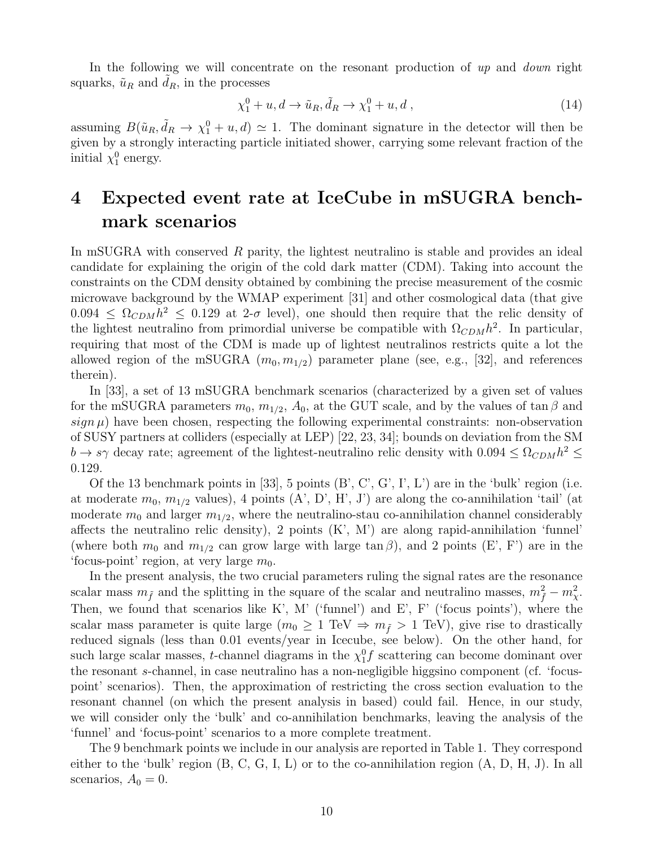In the following we will concentrate on the resonant production of up and down right squarks,  $\tilde{u}_R$  and  $d_R$ , in the processes

$$
\chi_1^0 + u, d \to \tilde{u}_R, \tilde{d}_R \to \chi_1^0 + u, d \,, \tag{14}
$$

assuming  $B(\tilde{u}_R, \tilde{d}_R \to \chi_1^0 + u, d) \simeq 1$ . The dominant signature in the detector will then be given by a strongly interacting particle initiated shower, carrying some relevant fraction of the initial  $\chi_1^0$  energy.

## 4 Expected event rate at IceCube in mSUGRA benchmark scenarios

In mSUGRA with conserved R parity, the lightest neutralino is stable and provides an ideal candidate for explaining the origin of the cold dark matter (CDM). Taking into account the constraints on the CDM density obtained by combining the precise measurement of the cosmic microwave background by the WMAP experiment [31] and other cosmological data (that give  $0.094 \leq \Omega_{CDM} h^2 \leq 0.129$  at 2- $\sigma$  level), one should then require that the relic density of the lightest neutralino from primordial universe be compatible with  $\Omega_{CDM}h^2$ . In particular, requiring that most of the CDM is made up of lightest neutralinos restricts quite a lot the allowed region of the mSUGRA  $(m_0, m_{1/2})$  parameter plane (see, e.g., [32], and references therein).

In [33], a set of 13 mSUGRA benchmark scenarios (characterized by a given set of values for the mSUGRA parameters  $m_0$ ,  $m_{1/2}$ ,  $A_0$ , at the GUT scale, and by the values of tan  $\beta$  and  $sign \mu$ ) have been chosen, respecting the following experimental constraints: non-observation of SUSY partners at colliders (especially at LEP) [22, 23, 34]; bounds on deviation from the SM  $b \to s\gamma$  decay rate; agreement of the lightest-neutralino relic density with  $0.094 \leq \Omega_{CDM} h^2 \leq$ 0.129.

Of the 13 benchmark points in [33], 5 points  $(B', C', G', I', L')$  are in the 'bulk' region (i.e. at moderate  $m_0, m_{1/2}$  values), 4 points  $(A', D', H', J')$  are along the co-annihilation 'tail' (at moderate  $m_0$  and larger  $m_{1/2}$ , where the neutralino-stau co-annihilation channel considerably affects the neutralino relic density), 2 points  $(K, M')$  are along rapid-annihilation 'funnel' (where both  $m_0$  and  $m_{1/2}$  can grow large with large tan  $\beta$ ), and 2 points (E', F') are in the 'focus-point' region, at very large  $m_0$ .

In the present analysis, the two crucial parameters ruling the signal rates are the resonance scalar mass  $m_{\tilde{f}}$  and the splitting in the square of the scalar and neutralino masses,  $m_{\tilde{f}}^2 - m_{\chi}^2$ . Then, we found that scenarios like K', M' ('funnel') and E', F' ('focus points'), where the scalar mass parameter is quite large  $(m_0 \geq 1 \text{ TeV} \Rightarrow m_{\tilde{f}} > 1 \text{ TeV})$ , give rise to drastically reduced signals (less than 0.01 events/year in Icecube, see below). On the other hand, for such large scalar masses, *t*-channel diagrams in the  $\chi_1^0 f$  scattering can become dominant over the resonant s-channel, in case neutralino has a non-negligible higgsino component (cf. 'focuspoint' scenarios). Then, the approximation of restricting the cross section evaluation to the resonant channel (on which the present analysis in based) could fail. Hence, in our study, we will consider only the 'bulk' and co-annihilation benchmarks, leaving the analysis of the 'funnel' and 'focus-point' scenarios to a more complete treatment.

The 9 benchmark points we include in our analysis are reported in Table 1. They correspond either to the 'bulk' region (B, C, G, I, L) or to the co-annihilation region (A, D, H, J). In all scenarios,  $A_0 = 0$ .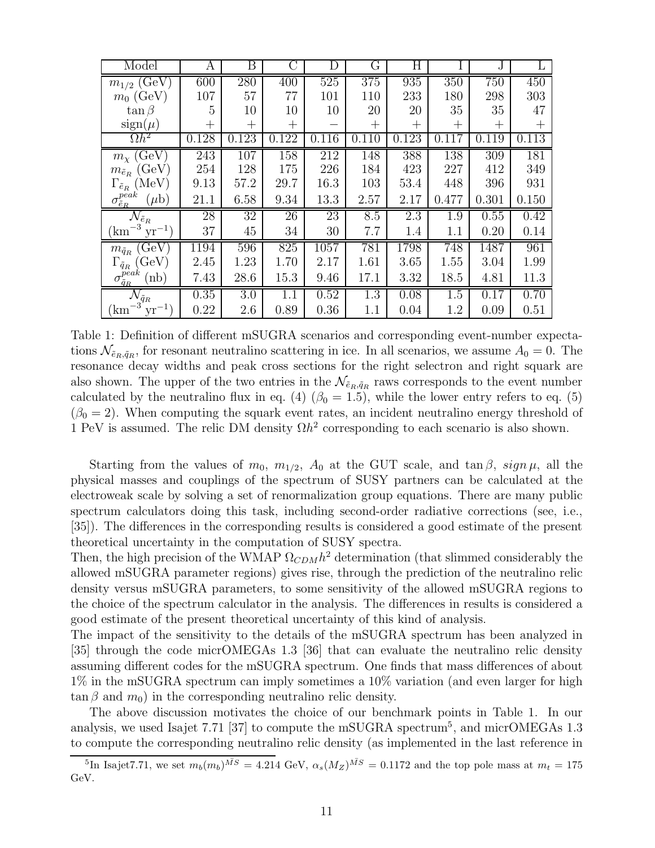| Model                                                | А     | Β     | С       | D        | G      | Η     |         |       | L         |
|------------------------------------------------------|-------|-------|---------|----------|--------|-------|---------|-------|-----------|
| $m_{1/2}$ (GeV)                                      | 600   | 280   | 400     | 525      | 375    | 935   | 350     | 750   | 450       |
| $m_0$ (GeV)                                          | 107   | 57    | 77      | 101      | 110    | 233   | 180     | 298   | 303       |
| $\tan \beta$                                         | 5     | 10    | 10      | 10       | 20     | 20    | 35      | 35    | 47        |
| $sign(\mu)$                                          | $^+$  | $^+$  | $^+$    |          | $^{+}$ | $^+$  | $^+$    | $^+$  | $\, + \,$ |
| $\Omega h^2$                                         | 0.128 | 0.123 | 0.122   | 0.116    | 0.110  | 0.123 | 0.117   | 0.119 | 0.113     |
| $m_{\chi}$ (GeV)                                     | 243   | 107   | 158     | 212      | 148    | 388   | 138     | 309   | 181       |
| $m_{\tilde{e}_R}$ (GeV)                              | 254   | 128   | 175     | 226      | 184    | 423   | 227     | 412   | 349       |
| $\Gamma_{\tilde{e}_R}$ (MeV)                         | 9.13  | 57.2  | 29.7    | 16.3     | 103    | 53.4  | 448     | 396   | 931       |
| $\sigma^{peak}_{\tilde{e}_{R}}$<br>$(\mu b)$         | 21.1  | 6.58  | 9.34    | 13.3     | 2.57   | 2.17  | 0.477   | 0.301 | 0.150     |
| $\mathcal{N}_{\tilde{e}_R}$                          | 28    | 32    | 26      | 23       | 8.5    | 2.3   | 1.9     | 0.55  | 0.42      |
| $yr^{-1}$<br>km                                      | 37    | 45    | 34      | 30       | 7.7    | 1.4   | $1.1\,$ | 0.20  | 0.14      |
| (GeV)<br>$m_{\tilde{q}_R}$                           | 1194  | 596   | 825     | $1057\,$ | 781    | 1798  | 748     | 1487  | 961       |
| $\langle \rm{GeV} \rangle$<br>$\Gamma_{\tilde{q}_R}$ | 2.45  | 1.23  | 1.70    | 2.17     | 1.61   | 3.65  | 1.55    | 3.04  | 1.99      |
| $\sigma^{peak}_{\tilde{q}_{\underline{R}}}$<br>(nb)  | 7.43  | 28.6  | 15.3    | 9.46     | 17.1   | 3.32  | 18.5    | 4.81  | 11.3      |
| $\mathcal{N}_{\tilde{q}_R}$                          | 0.35  | 3.0   | $1.1\,$ | 0.52     | 1.3    | 0.08  | 1.5     | 0.17  | 0.70      |
| $\mathrm{km}^{-3}$<br>$yr^{-1}$                      | 0.22  | 2.6   | 0.89    | 0.36     | 1.1    | 0.04  | 1.2     | 0.09  | 0.51      |

Table 1: Definition of different mSUGRA scenarios and corresponding event-number expectations  $\mathcal{N}_{\tilde{e}_R,\tilde{q}_R}$ , for resonant neutralino scattering in ice. In all scenarios, we assume  $A_0 = 0$ . The resonance decay widths and peak cross sections for the right selectron and right squark are also shown. The upper of the two entries in the  $\mathcal{N}_{\tilde{e}_R,\tilde{q}_R}$  raws corresponds to the event number calculated by the neutralino flux in eq. (4) ( $\beta_0 = 1.5$ ), while the lower entry refers to eq. (5)  $(\beta_0 = 2)$ . When computing the squark event rates, an incident neutralino energy threshold of 1 PeV is assumed. The relic DM density  $\Omega h^2$  corresponding to each scenario is also shown.

Starting from the values of  $m_0$ ,  $m_{1/2}$ ,  $A_0$  at the GUT scale, and tan  $\beta$ ,  $sign \mu$ , all the physical masses and couplings of the spectrum of SUSY partners can be calculated at the electroweak scale by solving a set of renormalization group equations. There are many public spectrum calculators doing this task, including second-order radiative corrections (see, i.e., [35]). The differences in the corresponding results is considered a good estimate of the present theoretical uncertainty in the computation of SUSY spectra.

Then, the high precision of the WMAP  $\Omega_{CDM}h^2$  determination (that slimmed considerably the allowed mSUGRA parameter regions) gives rise, through the prediction of the neutralino relic density versus mSUGRA parameters, to some sensitivity of the allowed mSUGRA regions to the choice of the spectrum calculator in the analysis. The differences in results is considered a good estimate of the present theoretical uncertainty of this kind of analysis.

The impact of the sensitivity to the details of the mSUGRA spectrum has been analyzed in [35] through the code micrOMEGAs 1.3 [36] that can evaluate the neutralino relic density assuming different codes for the mSUGRA spectrum. One finds that mass differences of about 1% in the mSUGRA spectrum can imply sometimes a 10% variation (and even larger for high  $\tan \beta$  and  $m_0$ ) in the corresponding neutralino relic density.

The above discussion motivates the choice of our benchmark points in Table 1. In our analysis, we used Isajet 7.71 [37] to compute the mSUGRA spectrum<sup>5</sup>, and micrOMEGAs 1.3 to compute the corresponding neutralino relic density (as implemented in the last reference in

<sup>&</sup>lt;sup>5</sup>In Isajet7.71, we set  $m_b(m_b)^{\bar{MS}} = 4.214 \text{ GeV}, \ \alpha_s(M_Z)^{\bar{MS}} = 0.1172$  and the top pole mass at  $m_t = 175$ GeV.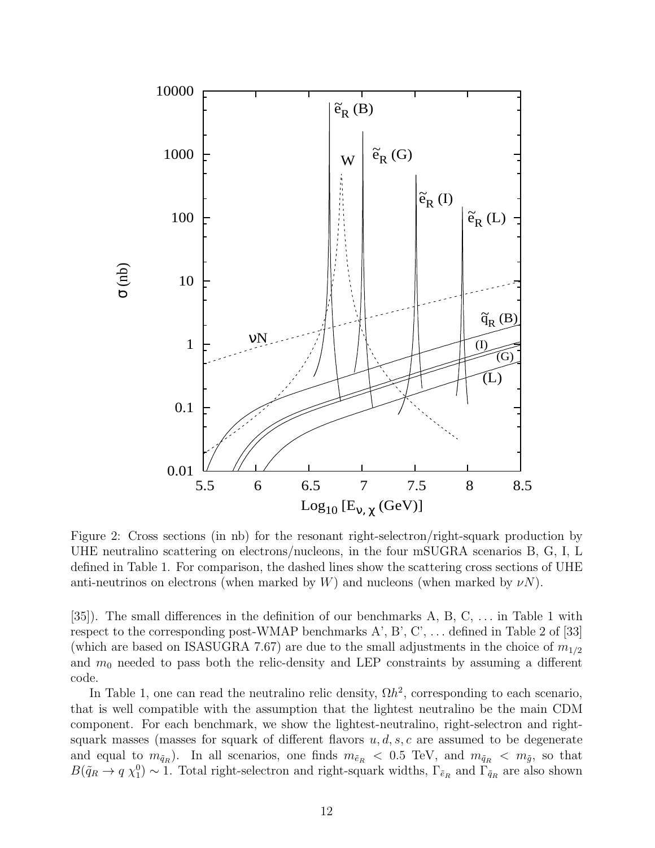

Figure 2: Cross sections (in nb) for the resonant right-selectron/right-squark production by UHE neutralino scattering on electrons/nucleons, in the four mSUGRA scenarios B, G, I, L defined in Table 1. For comparison, the dashed lines show the scattering cross sections of UHE anti-neutrinos on electrons (when marked by  $W$ ) and nucleons (when marked by  $\nu N$ ).

[35]). The small differences in the definition of our benchmarks A, B, C, . . . in Table 1 with respect to the corresponding post-WMAP benchmarks  $A', B', C', \ldots$  defined in Table 2 of [33] (which are based on ISASUGRA 7.67) are due to the small adjustments in the choice of  $m_{1/2}$ and  $m_0$  needed to pass both the relic-density and LEP constraints by assuming a different code.

In Table 1, one can read the neutralino relic density,  $\Omega h^2$ , corresponding to each scenario, that is well compatible with the assumption that the lightest neutralino be the main CDM component. For each benchmark, we show the lightest-neutralino, right-selectron and rightsquark masses (masses for squark of different flavors  $u, d, s, c$  are assumed to be degenerate and equal to  $m_{\tilde{q}_R}$ ). In all scenarios, one finds  $m_{\tilde{e}_R} < 0.5$  TeV, and  $m_{\tilde{q}_R} < m_{\tilde{g}}$ , so that  $B(\tilde{q}_R \to q \chi_1^0) \sim 1$ . Total right-selectron and right-squark widths,  $\Gamma_{\tilde{e}_R}$  and  $\Gamma_{\tilde{q}_R}$  are also shown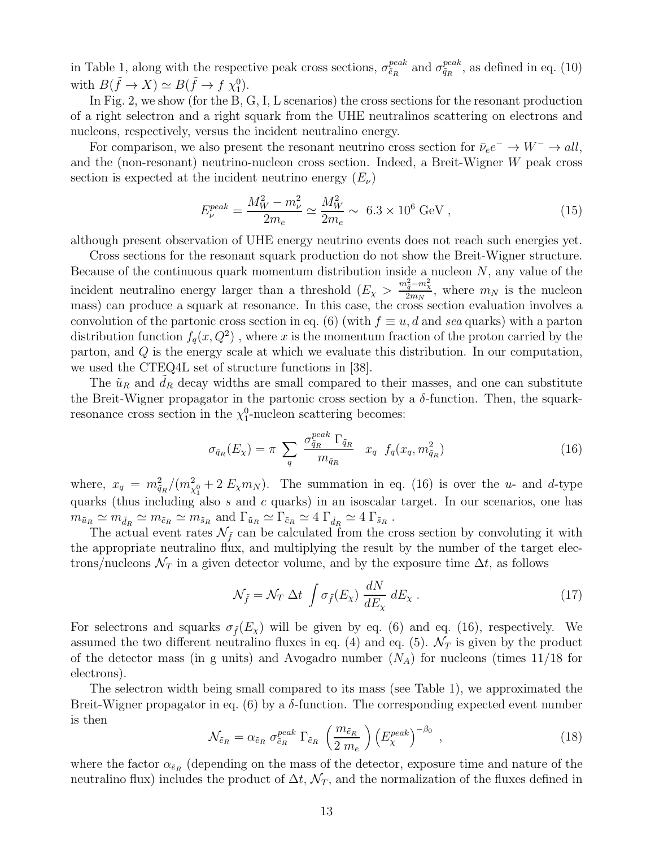in Table 1, along with the respective peak cross sections,  $\sigma_{\tilde{e}_R}^{peak}$  and  $\sigma_{\tilde{q}_R}^{peak}$ , as defined in eq. (10) with  $B(\tilde{f} \to X) \simeq B(\tilde{f} \to f \chi_1^0)$ .

In Fig. 2, we show (for the B, G, I, L scenarios) the cross sections for the resonant production of a right selectron and a right squark from the UHE neutralinos scattering on electrons and nucleons, respectively, versus the incident neutralino energy.

For comparison, we also present the resonant neutrino cross section for  $\bar{\nu}_e e^- \to W^- \to all$ , and the (non-resonant) neutrino-nucleon cross section. Indeed, a Breit-Wigner W peak cross section is expected at the incident neutrino energy  $(E_{\nu})$ 

$$
E_{\nu}^{peak} = \frac{M_W^2 - m_{\nu}^2}{2m_e} \simeq \frac{M_W^2}{2m_e} \sim 6.3 \times 10^6 \text{ GeV}, \qquad (15)
$$

although present observation of UHE energy neutrino events does not reach such energies yet.

Cross sections for the resonant squark production do not show the Breit-Wigner structure. Because of the continuous quark momentum distribution inside a nucleon  $N$ , any value of the incident neutralino energy larger than a threshold  $(E_{\chi} > \frac{m_{\tilde{q}}^2 - m_{\chi}^2}{2m_N})$ , where  $m_N$  is the nucleon mass) can produce a squark at resonance. In this case, the cross section evaluation involves a convolution of the partonic cross section in eq. (6) (with  $f \equiv u, d$  and sea quarks) with a parton distribution function  $f_q(x, Q^2)$ , where x is the momentum fraction of the proton carried by the parton, and Q is the energy scale at which we evaluate this distribution. In our computation, we used the CTEQ4L set of structure functions in [38].

The  $\tilde{u}_R$  and  $d_R$  decay widths are small compared to their masses, and one can substitute the Breit-Wigner propagator in the partonic cross section by a  $\delta$ -function. Then, the squarkresonance cross section in the  $\chi_1^0$ -nucleon scattering becomes:

$$
\sigma_{\tilde{q}_R}(E_\chi) = \pi \sum_q \frac{\sigma_{\tilde{q}_R}^{peak} \Gamma_{\tilde{q}_R}}{m_{\tilde{q}_R}} x_q f_q(x_q, m_{\tilde{q}_R}^2)
$$
(16)

where,  $x_q = m_{\tilde{q}_R}^2/(m_{\chi_1^0}^2 + 2 E_\chi m_N)$ . The summation in eq. (16) is over the u- and d-type quarks (thus including also s and c quarks) in an isoscalar target. In our scenarios, one has  $m_{\tilde{u}_R} \simeq m_{\tilde{d}_R} \simeq m_{\tilde{c}_R} \simeq m_{\tilde{s}_R}$  and  $\Gamma_{\tilde{u}_R} \simeq 4 \Gamma_{\tilde{d}_R} \simeq 4 \Gamma_{\tilde{s}_R}$ .

The actual event rates  $\mathcal{N}_{\tilde{f}}$  can be calculated from the cross section by convoluting it with the appropriate neutralino flux, and multiplying the result by the number of the target electrons/nucleons  $\mathcal{N}_T$  in a given detector volume, and by the exposure time  $\Delta t$ , as follows

$$
\mathcal{N}_{\tilde{f}} = \mathcal{N}_T \ \Delta t \ \int \sigma_{\tilde{f}}(E_\chi) \ \frac{dN}{dE_\chi} \ dE_\chi \ . \tag{17}
$$

For selectrons and squarks  $\sigma_{\tilde{f}}(E_\chi)$  will be given by eq. (6) and eq. (16), respectively. We assumed the two different neutralino fluxes in eq. (4) and eq. (5).  $\mathcal{N}_T$  is given by the product of the detector mass (in g units) and Avogadro number  $(N_A)$  for nucleons (times 11/18 for electrons).

The selectron width being small compared to its mass (see Table 1), we approximated the Breit-Wigner propagator in eq.  $(6)$  by a  $\delta$ -function. The corresponding expected event number is then

$$
\mathcal{N}_{\tilde{e}_R} = \alpha_{\tilde{e}_R} \sigma_{\tilde{e}_R}^{peak} \Gamma_{\tilde{e}_R} \left(\frac{m_{\tilde{e}_R}}{2 m_e}\right) \left(E_{\chi}^{peak}\right)^{-\beta_0} ,\qquad (18)
$$

where the factor  $\alpha_{\tilde{e}_R}$  (depending on the mass of the detector, exposure time and nature of the neutralino flux) includes the product of  $\Delta t$ ,  $\mathcal{N}_T$ , and the normalization of the fluxes defined in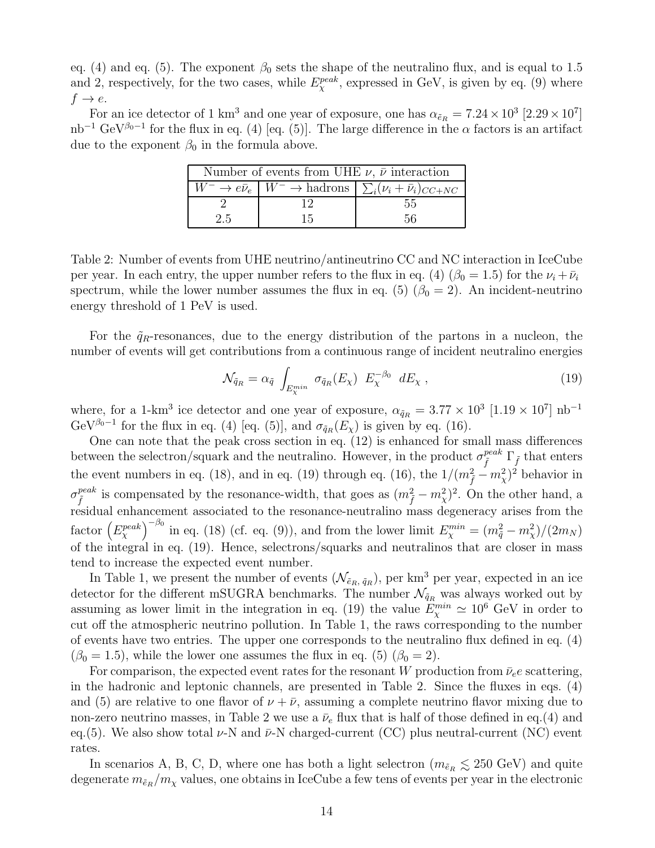eq. (4) and eq. (5). The exponent  $\beta_0$  sets the shape of the neutralino flux, and is equal to 1.5 and 2, respectively, for the two cases, while  $E_{\chi}^{peak}$ , expressed in GeV, is given by eq. (9) where  $f \rightarrow e$ .

For an ice detector of 1 km<sup>3</sup> and one year of exposure, one has  $\alpha_{\tilde{e}_R} = 7.24 \times 10^3$  [2.29  $\times 10^7$ ] nb<sup>-1</sup> GeV<sup> $\beta$ <sub>0</sub>-1</sup> for the flux in eq. (4) [eq. (5)]. The large difference in the  $\alpha$  factors is an artifact due to the exponent  $\beta_0$  in the formula above.

| Number of events from UHE $\nu$ , $\bar{\nu}$ interaction |    |                                                                                                          |  |  |  |  |
|-----------------------------------------------------------|----|----------------------------------------------------------------------------------------------------------|--|--|--|--|
|                                                           |    | $\overline{W^-} \to e \bar{\nu}_e \mid W^- \to \text{hadrons} \mid \sum_i (\nu_i + \bar{\nu}_i)_{CC+NC}$ |  |  |  |  |
|                                                           |    | .55                                                                                                      |  |  |  |  |
| 2.5                                                       | 15 | 56                                                                                                       |  |  |  |  |

Table 2: Number of events from UHE neutrino/antineutrino CC and NC interaction in IceCube per year. In each entry, the upper number refers to the flux in eq. (4) ( $\beta_0 = 1.5$ ) for the  $\nu_i + \bar{\nu}_i$ spectrum, while the lower number assumes the flux in eq. (5) ( $\beta_0 = 2$ ). An incident-neutrino energy threshold of 1 PeV is used.

For the  $\tilde{q}_R$ -resonances, due to the energy distribution of the partons in a nucleon, the number of events will get contributions from a continuous range of incident neutralino energies

$$
\mathcal{N}_{\tilde{q}_R} = \alpha_{\tilde{q}} \int_{E_{\chi}^{min}} \sigma_{\tilde{q}_R}(E_\chi) E_\chi^{-\beta_0} dE_\chi , \qquad (19)
$$

where, for a 1-km<sup>3</sup> ice detector and one year of exposure,  $\alpha_{\tilde{q}_R} = 3.77 \times 10^3$  [1.19 × 10<sup>7</sup>] nb<sup>-1</sup> GeV<sup> $\beta_0$ -1</sup> for the flux in eq. (4) [eq. (5)], and  $\sigma_{\tilde{q}_R}(E_\chi)$  is given by eq. (16).

One can note that the peak cross section in eq. (12) is enhanced for small mass differences between the selectron/squark and the neutralino. However, in the product  $\sigma_{\tilde{f}}^{peak} \Gamma_{\tilde{f}}$  that enters the event numbers in eq. (18), and in eq. (19) through eq. (16), the  $1/(m_{\tilde{f}}^2 - m_{\chi}^2)^2$  behavior in  $\sigma_{\tilde{f}}^{peak}$  is compensated by the resonance-width, that goes as  $(m_{\tilde{f}}^2 - m_{\chi}^2)^2$ . On the other hand, a residual enhancement associated to the resonance-neutralino mass degeneracy arises from the factor  $(E_{\chi}^{peak})^{-\beta_0}$  in eq. (18) (cf. eq. (9)), and from the lower limit  $E_{\chi}^{min} = (m_{\tilde{q}}^2 - m_{\chi}^2)/(2m_N)$ of the integral in eq. (19). Hence, selectrons/squarks and neutralinos that are closer in mass tend to increase the expected event number.

In Table 1, we present the number of events  $(\mathcal{N}_{\tilde{e}_R, \tilde{q}_R})$ , per km<sup>3</sup> per year, expected in an ice detector for the different mSUGRA benchmarks. The number  $\mathcal{N}_{\tilde{q}_R}$  was always worked out by assuming as lower limit in the integration in eq. (19) the value  $E_{\chi}^{min} \simeq 10^6$  GeV in order to cut off the atmospheric neutrino pollution. In Table 1, the raws corresponding to the number of events have two entries. The upper one corresponds to the neutralino flux defined in eq. (4)  $(\beta_0 = 1.5)$ , while the lower one assumes the flux in eq. (5)  $(\beta_0 = 2)$ .

For comparison, the expected event rates for the resonant W production from  $\bar{\nu}_e e$  scattering, in the hadronic and leptonic channels, are presented in Table 2. Since the fluxes in eqs. (4) and (5) are relative to one flavor of  $\nu + \bar{\nu}$ , assuming a complete neutrino flavor mixing due to non-zero neutrino masses, in Table 2 we use a  $\bar{\nu}_e$  flux that is half of those defined in eq.(4) and eq.(5). We also show total  $\nu$ -N and  $\bar{\nu}$ -N charged-current (CC) plus neutral-current (NC) event rates.

In scenarios A, B, C, D, where one has both a light selectron  $(m_{\tilde{e}_R} \lesssim 250 \text{ GeV})$  and quite degenerate  $m_{\tilde{e}_R}/m_\chi$  values, one obtains in IceCube a few tens of events per year in the electronic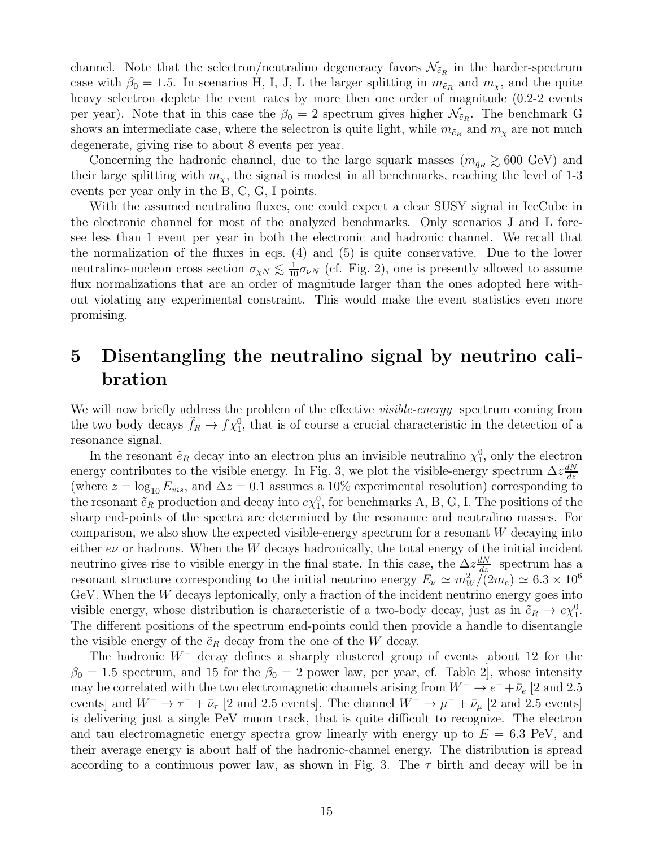channel. Note that the selectron/neutralino degeneracy favors  $\mathcal{N}_{\tilde{e}_R}$  in the harder-spectrum case with  $\beta_0 = 1.5$ . In scenarios H, I, J, L the larger splitting in  $m_{\tilde{e}_R}$  and  $m_\chi$ , and the quite heavy selectron deplete the event rates by more then one order of magnitude  $(0.2-2$  events per year). Note that in this case the  $\beta_0 = 2$  spectrum gives higher  $\mathcal{N}_{\tilde{e}_R}$ . The benchmark G shows an intermediate case, where the selectron is quite light, while  $m_{\tilde{e}_R}$  and  $m_\chi$  are not much degenerate, giving rise to about 8 events per year.

Concerning the hadronic channel, due to the large squark masses  $(m_{\tilde{q}_R} \gtrsim 600 \text{ GeV})$  and their large splitting with  $m<sub>x</sub>$ , the signal is modest in all benchmarks, reaching the level of 1-3 events per year only in the B, C, G, I points.

With the assumed neutralino fluxes, one could expect a clear SUSY signal in IceCube in the electronic channel for most of the analyzed benchmarks. Only scenarios J and L foresee less than 1 event per year in both the electronic and hadronic channel. We recall that the normalization of the fluxes in eqs. (4) and (5) is quite conservative. Due to the lower neutralino-nucleon cross section  $\sigma_{\chi N} \lesssim \frac{1}{10} \sigma_{\nu N}$  (cf. Fig. 2), one is presently allowed to assume flux normalizations that are an order of magnitude larger than the ones adopted here without violating any experimental constraint. This would make the event statistics even more promising.

## 5 Disentangling the neutralino signal by neutrino calibration

We will now briefly address the problem of the effective *visible-energy* spectrum coming from the two body decays  $\tilde{f}_R \to f \chi_1^0$ , that is of course a crucial characteristic in the detection of a resonance signal.

In the resonant  $\tilde{e}_R$  decay into an electron plus an invisible neutralino  $\chi_1^0$ , only the electron energy contributes to the visible energy. In Fig. 3, we plot the visible-energy spectrum  $\Delta z \frac{dN}{dz}$ dz (where  $z = \log_{10} E_{vis}$ , and  $\Delta z = 0.1$  assumes a 10% experimental resolution) corresponding to the resonant  $\tilde{e}_R$  production and decay into  $e\chi_1^0$ , for benchmarks A, B, G, I. The positions of the sharp end-points of the spectra are determined by the resonance and neutralino masses. For comparison, we also show the expected visible-energy spectrum for a resonant  $W$  decaying into either  $e\nu$  or hadrons. When the W decays hadronically, the total energy of the initial incident neutrino gives rise to visible energy in the final state. In this case, the  $\Delta z \frac{dN}{dz}$  spectrum has a resonant structure corresponding to the initial neutrino energy  $E_{\nu} \simeq m_W^2/(2m_e) \simeq 6.3 \times 10^6$ GeV. When the  $W$  decays leptonically, only a fraction of the incident neutrino energy goes into visible energy, whose distribution is characteristic of a two-body decay, just as in  $\tilde{e}_R \to e \chi_1^0$ . The different positions of the spectrum end-points could then provide a handle to disentangle the visible energy of the  $\tilde{e}_R$  decay from the one of the W decay.

The hadronic W<sup>−</sup> decay defines a sharply clustered group of events [about 12 for the  $\beta_0 = 1.5$  spectrum, and 15 for the  $\beta_0 = 2$  power law, per year, cf. Table 2, whose intensity may be correlated with the two electromagnetic channels arising from  $W^- \to e^- + \bar{\nu}_e$  [2 and 2.5 events] and  $W^- \to \tau^- + \bar{\nu}_\tau$  [2 and 2.5 events]. The channel  $W^- \to \mu^- + \bar{\nu}_\mu$  [2 and 2.5 events] is delivering just a single PeV muon track, that is quite difficult to recognize. The electron and tau electromagnetic energy spectra grow linearly with energy up to  $E = 6.3$  PeV, and their average energy is about half of the hadronic-channel energy. The distribution is spread according to a continuous power law, as shown in Fig. 3. The  $\tau$  birth and decay will be in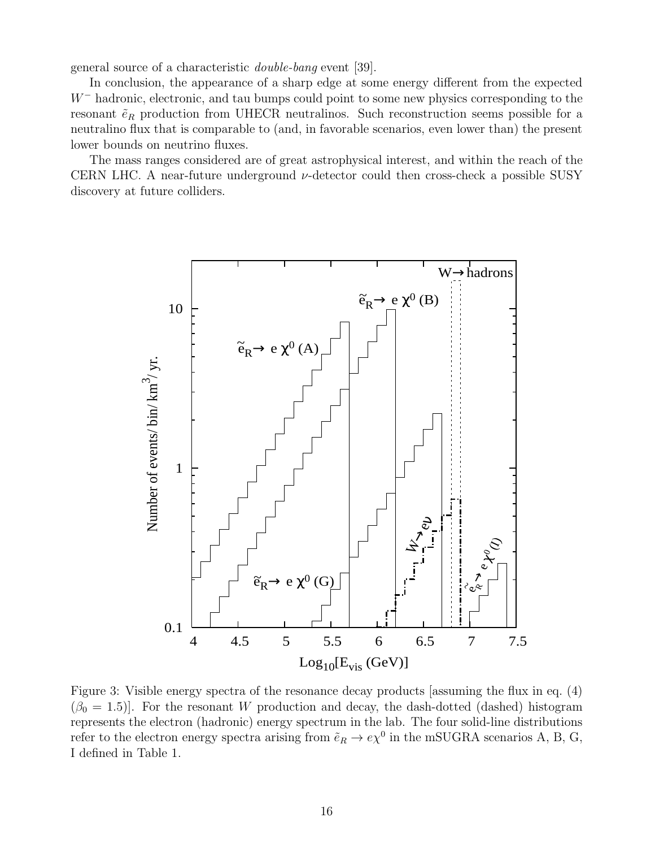general source of a characteristic double-bang event [39].

In conclusion, the appearance of a sharp edge at some energy different from the expected W<sup>−</sup> hadronic, electronic, and tau bumps could point to some new physics corresponding to the resonant  $\tilde{e}_R$  production from UHECR neutralinos. Such reconstruction seems possible for a neutralino flux that is comparable to (and, in favorable scenarios, even lower than) the present lower bounds on neutrino fluxes.

The mass ranges considered are of great astrophysical interest, and within the reach of the CERN LHC. A near-future underground  $\nu$ -detector could then cross-check a possible SUSY discovery at future colliders.



Figure 3: Visible energy spectra of the resonance decay products [assuming the flux in eq. (4)  $(\beta_0 = 1.5)$ . For the resonant W production and decay, the dash-dotted (dashed) histogram represents the electron (hadronic) energy spectrum in the lab. The four solid-line distributions refer to the electron energy spectra arising from  $\tilde{e}_R \to e \chi^0$  in the mSUGRA scenarios A, B, G, I defined in Table 1.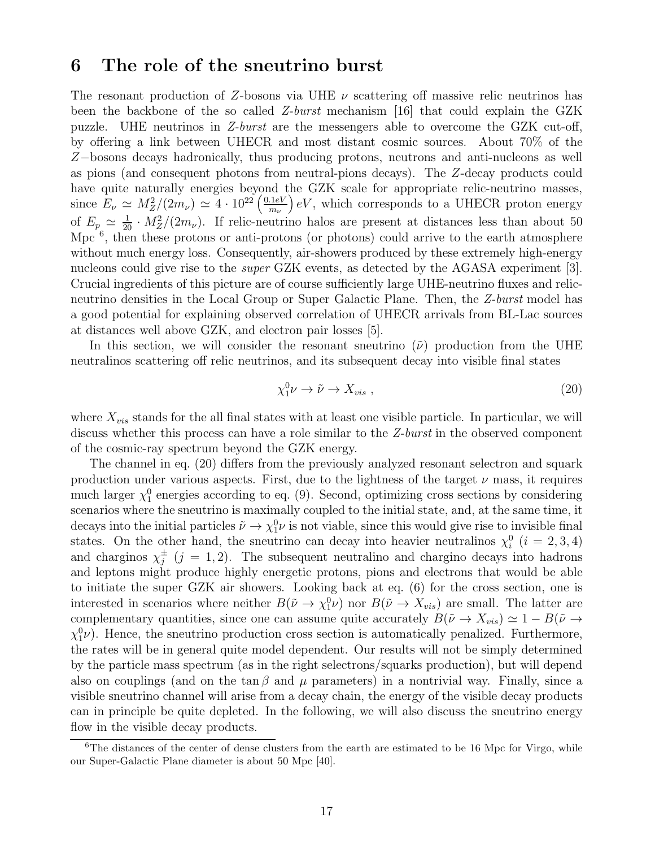#### 6 The role of the sneutrino burst

The resonant production of Z-bosons via UHE  $\nu$  scattering off massive relic neutrinos has been the backbone of the so called Z-burst mechanism [16] that could explain the GZK puzzle. UHE neutrinos in Z-burst are the messengers able to overcome the GZK cut-off, by offering a link between UHECR and most distant cosmic sources. About 70% of the Z−bosons decays hadronically, thus producing protons, neutrons and anti-nucleons as well as pions (and consequent photons from neutral-pions decays). The Z-decay products could have quite naturally energies beyond the GZK scale for appropriate relic-neutrino masses, since  $E_{\nu} \simeq M_Z^2/(2m_{\nu}) \simeq 4 \cdot 10^{22} \left(\frac{0.1 eV}{m_{\nu}}\right)$  $m_{\nu}$  $\bigl(eV,$  which corresponds to a UHECR proton energy of  $E_p \simeq \frac{1}{20} \cdot M_Z^2/(2m_\nu)$ . If relic-neutrino halos are present at distances less than about 50 Mpc  $\overset{6}{\ }$ , then these protons or anti-protons (or photons) could arrive to the earth atmosphere without much energy loss. Consequently, air-showers produced by these extremely high-energy nucleons could give rise to the *super* GZK events, as detected by the AGASA experiment [3]. Crucial ingredients of this picture are of course sufficiently large UHE-neutrino fluxes and relicneutrino densities in the Local Group or Super Galactic Plane. Then, the Z-burst model has a good potential for explaining observed correlation of UHECR arrivals from BL-Lac sources at distances well above GZK, and electron pair losses [5].

In this section, we will consider the resonant sneutrino  $(\tilde{\nu})$  production from the UHE neutralinos scattering off relic neutrinos, and its subsequent decay into visible final states

$$
\chi_1^0 \nu \to \tilde{\nu} \to X_{vis} \tag{20}
$$

where  $X_{vis}$  stands for the all final states with at least one visible particle. In particular, we will discuss whether this process can have a role similar to the Z-burst in the observed component of the cosmic-ray spectrum beyond the GZK energy.

The channel in eq. (20) differs from the previously analyzed resonant selectron and squark production under various aspects. First, due to the lightness of the target  $\nu$  mass, it requires much larger  $\chi_1^0$  energies according to eq. (9). Second, optimizing cross sections by considering scenarios where the sneutrino is maximally coupled to the initial state, and, at the same time, it decays into the initial particles  $\tilde{\nu} \to \chi_1^0 \nu$  is not viable, since this would give rise to invisible final states. On the other hand, the sneutrino can decay into heavier neutralinos  $\chi_i^0$  $i \ (i = 2, 3, 4)$ and charginos  $\chi_i^{\pm}$  $j^{\pm}$   $(j = 1, 2)$ . The subsequent neutralino and chargino decays into hadrons and leptons might produce highly energetic protons, pions and electrons that would be able to initiate the super GZK air showers. Looking back at eq. (6) for the cross section, one is interested in scenarios where neither  $B(\tilde{\nu} \to \chi_1^0 \nu)$  nor  $B(\tilde{\nu} \to X_{vis})$  are small. The latter are complementary quantities, since one can assume quite accurately  $B(\tilde{\nu} \to X_{vis}) \simeq 1 - B(\tilde{\nu} \to \tilde{\nu})$  $\chi_1^0 \nu$ ). Hence, the sneutrino production cross section is automatically penalized. Furthermore, the rates will be in general quite model dependent. Our results will not be simply determined by the particle mass spectrum (as in the right selectrons/squarks production), but will depend also on couplings (and on the tan  $\beta$  and  $\mu$  parameters) in a nontrivial way. Finally, since a visible sneutrino channel will arise from a decay chain, the energy of the visible decay products can in principle be quite depleted. In the following, we will also discuss the sneutrino energy flow in the visible decay products.

<sup>&</sup>lt;sup>6</sup>The distances of the center of dense clusters from the earth are estimated to be 16 Mpc for Virgo, while our Super-Galactic Plane diameter is about 50 Mpc [40].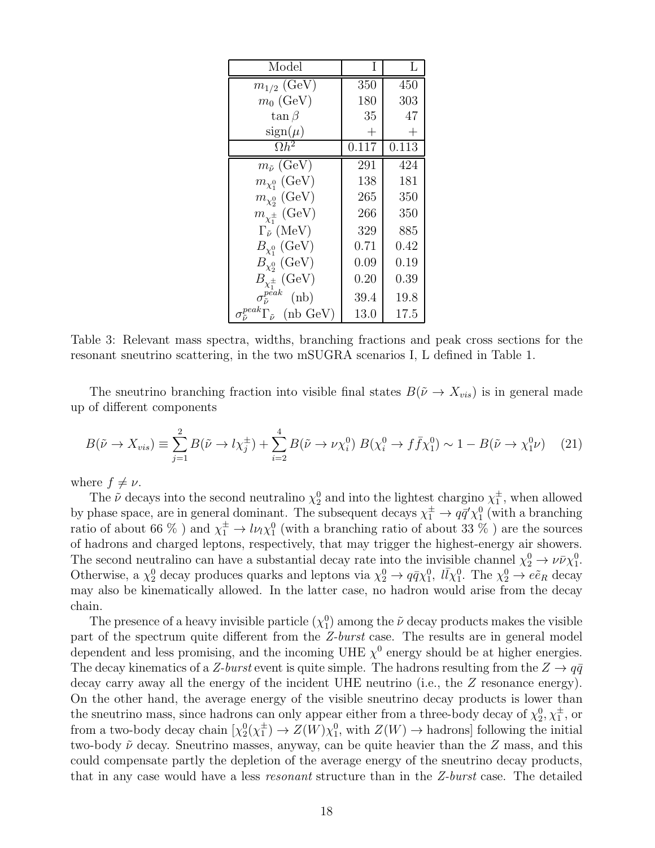| Model                                                  |                    | L          |
|--------------------------------------------------------|--------------------|------------|
| $m_{1/2}$ (GeV)                                        | 350                | 450        |
| $m_0$ (GeV)                                            | 180                | 303        |
| $\tan \beta$                                           | 35                 | 47         |
| $sign(\mu)$                                            | $\hspace{0.1mm} +$ | $^+$       |
| $\overline{\Omega h^2}$                                | 0.117              | 0.113      |
| $m_{\tilde{\nu}}$ (GeV)                                | 291                | 424        |
| $m_{\chi_1^0}$ (GeV)                                   | 138                | 181        |
| $m_{\chi^0_2}$ (GeV)                                   | 265                | 350        |
| $m_{\chi^{\pm}_{1}}$ (GeV)                             | 266                | 350        |
| $\Gamma_{\tilde{\nu}}$ (MeV)                           | 329                | 885        |
| $B_{\chi_1^0}$ (GeV)                                   | 0.71               | $\rm 0.42$ |
| $B_{\chi_2^0}$ (GeV)                                   | 0.09               | 0.19       |
| $B_{\chi_1^{\pm}}$ (GeV)                               | 0.20               | $\rm 0.39$ |
| $\sigma_{\tilde{\tau}}^{peak}$<br>(nb)                 | 39.4               | 19.8       |
| $_{\tilde{\cdot}}^{peak}\Gamma_{\tilde{\nu}}$ (nb GeV) | 13.0               | $17.5\,$   |

Table 3: Relevant mass spectra, widths, branching fractions and peak cross sections for the resonant sneutrino scattering, in the two mSUGRA scenarios I, L defined in Table 1.

The sneutrino branching fraction into visible final states  $B(\tilde{\nu} \to X_{vis})$  is in general made up of different components

$$
B(\tilde{\nu} \to X_{vis}) \equiv \sum_{j=1}^{2} B(\tilde{\nu} \to l\chi_{j}^{\pm}) + \sum_{i=2}^{4} B(\tilde{\nu} \to \nu\chi_{i}^{0}) B(\chi_{i}^{0} \to f\bar{f}\chi_{1}^{0}) \sim 1 - B(\tilde{\nu} \to \chi_{1}^{0}\nu) \quad (21)
$$

where  $f \neq \nu$ .

The  $\tilde{\nu}$  decays into the second neutralino  $\chi_2^0$  and into the lightest chargino  $\chi_1^{\pm}$  $_1^{\pm}$ , when allowed by phase space, are in general dominant. The subsequent decays  $\chi_1^{\pm} \to q\bar{q}' \chi_1^0$  (with a branching ratio of about 66 %) and  $\chi_1^{\pm} \to l\nu_l\chi_1^0$  (with a branching ratio of about 33 %) are the sources of hadrons and charged leptons, respectively, that may trigger the highest-energy air showers. The second neutralino can have a substantial decay rate into the invisible channel  $\chi_2^0 \to \nu \bar{\nu} \chi_1^0$ . Otherwise, a  $\chi_2^0$  decay produces quarks and leptons via  $\chi_2^0 \to q\bar{q}\chi_1^0$ ,  $l\bar{l}\chi_1^0$ . The  $\chi_2^0 \to e\tilde{e}_R$  decay may also be kinematically allowed. In the latter case, no hadron would arise from the decay chain.

The presence of a heavy invisible particle  $(\chi_1^0)$  among the  $\tilde{\nu}$  decay products makes the visible part of the spectrum quite different from the Z-burst case. The results are in general model dependent and less promising, and the incoming UHE  $\chi^0$  energy should be at higher energies. The decay kinematics of a Z-burst event is quite simple. The hadrons resulting from the  $Z \rightarrow q\bar{q}$ decay carry away all the energy of the incident UHE neutrino (i.e., the Z resonance energy). On the other hand, the average energy of the visible sneutrino decay products is lower than the sneutrino mass, since hadrons can only appear either from a three-body decay of  $\chi_2^0, \chi_1^{\pm}$ , or from a two-body decay chain  $\chi_2^0(\chi_1^{\pm})$  $\frac{1}{1}$   $\rightarrow$   $Z(W)\chi_1^0$ , with  $Z(W) \rightarrow$  hadrons] following the initial two-body  $\tilde{\nu}$  decay. Sneutrino masses, anyway, can be quite heavier than the Z mass, and this could compensate partly the depletion of the average energy of the sneutrino decay products, that in any case would have a less resonant structure than in the Z-burst case. The detailed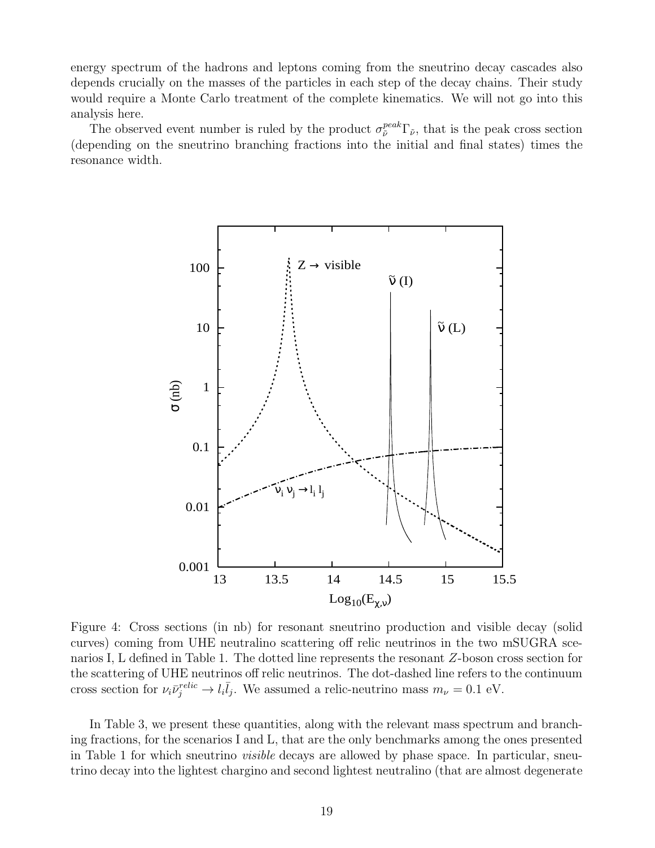energy spectrum of the hadrons and leptons coming from the sneutrino decay cascades also depends crucially on the masses of the particles in each step of the decay chains. Their study would require a Monte Carlo treatment of the complete kinematics. We will not go into this analysis here.

The observed event number is ruled by the product  $\sigma_{\tilde{\nu}}^{peak}\Gamma_{\tilde{\nu}}$ , that is the peak cross section (depending on the sneutrino branching fractions into the initial and final states) times the resonance width.



Figure 4: Cross sections (in nb) for resonant sneutrino production and visible decay (solid curves) coming from UHE neutralino scattering off relic neutrinos in the two mSUGRA scenarios I, L defined in Table 1. The dotted line represents the resonant Z-boson cross section for the scattering of UHE neutrinos off relic neutrinos. The dot-dashed line refers to the continuum cross section for  $\nu_i \bar{\nu}_j^{relic} \to l_i \bar{l}_j$ . We assumed a relic-neutrino mass  $m_{\nu} = 0.1$  eV.

In Table 3, we present these quantities, along with the relevant mass spectrum and branching fractions, for the scenarios I and L, that are the only benchmarks among the ones presented in Table 1 for which sneutrino visible decays are allowed by phase space. In particular, sneutrino decay into the lightest chargino and second lightest neutralino (that are almost degenerate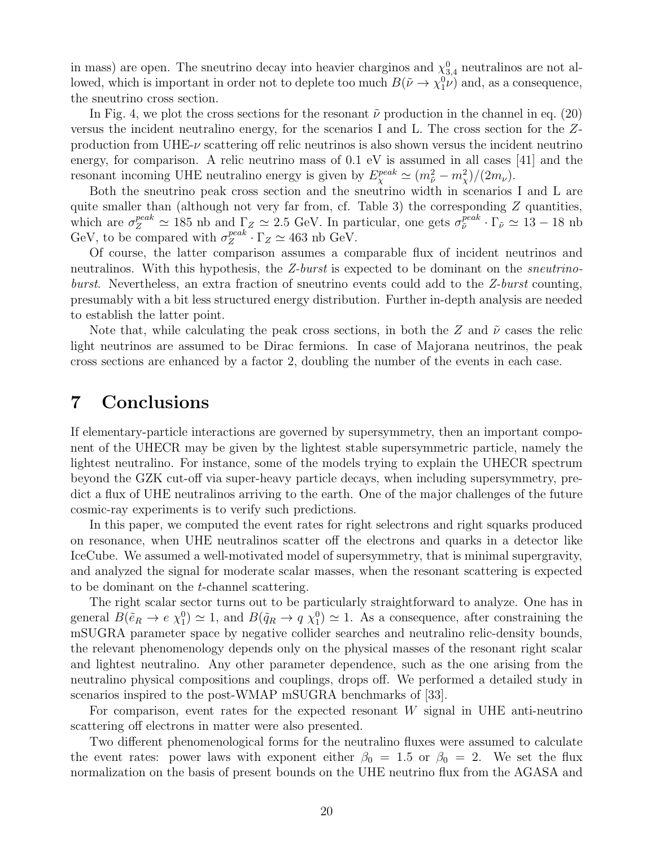in mass) are open. The sneutrino decay into heavier charginos and  $\chi_{3,4}^0$  neutralinos are not allowed, which is important in order not to deplete too much  $B(\tilde{\nu} \to \chi_1^0 \nu)$  and, as a consequence, the sneutrino cross section.

In Fig. 4, we plot the cross sections for the resonant  $\tilde{\nu}$  production in the channel in eq. (20) versus the incident neutralino energy, for the scenarios I and L. The cross section for the Zproduction from UHE- $\nu$  scattering off relic neutrinos is also shown versus the incident neutrino energy, for comparison. A relic neutrino mass of 0.1 eV is assumed in all cases [41] and the resonant incoming UHE neutralino energy is given by  $E_{\chi}^{peak} \simeq (m_{\tilde{\nu}}^2 - m_{\chi}^2)/(2m_{\nu}).$ 

Both the sneutrino peak cross section and the sneutrino width in scenarios I and L are quite smaller than (although not very far from, cf. Table 3) the corresponding  $Z$  quantities, which are  $\sigma_Z^{peak} \simeq 185$  nb and  $\Gamma_Z \simeq 2.5$  GeV. In particular, one gets  $\sigma_{\tilde{\nu}}^{peak} \cdot \Gamma_{\tilde{\nu}} \simeq 13-18$  nb GeV, to be compared with  $\sigma_Z^{peak}$  $Z_Z^{peak} \cdot \Gamma_Z \simeq 463$  nb GeV.

Of course, the latter comparison assumes a comparable flux of incident neutrinos and neutralinos. With this hypothesis, the Z-burst is expected to be dominant on the *sneutrino*burst. Nevertheless, an extra fraction of sneutrino events could add to the Z-burst counting, presumably with a bit less structured energy distribution. Further in-depth analysis are needed to establish the latter point.

Note that, while calculating the peak cross sections, in both the Z and  $\tilde{\nu}$  cases the relic light neutrinos are assumed to be Dirac fermions. In case of Majorana neutrinos, the peak cross sections are enhanced by a factor 2, doubling the number of the events in each case.

#### 7 Conclusions

If elementary-particle interactions are governed by supersymmetry, then an important component of the UHECR may be given by the lightest stable supersymmetric particle, namely the lightest neutralino. For instance, some of the models trying to explain the UHECR spectrum beyond the GZK cut-off via super-heavy particle decays, when including supersymmetry, predict a flux of UHE neutralinos arriving to the earth. One of the major challenges of the future cosmic-ray experiments is to verify such predictions.

In this paper, we computed the event rates for right selectrons and right squarks produced on resonance, when UHE neutralinos scatter off the electrons and quarks in a detector like IceCube. We assumed a well-motivated model of supersymmetry, that is minimal supergravity, and analyzed the signal for moderate scalar masses, when the resonant scattering is expected to be dominant on the t-channel scattering.

The right scalar sector turns out to be particularly straightforward to analyze. One has in general  $B(\tilde{e}_R \to e \chi_1^0) \simeq 1$ , and  $B(\tilde{q}_R \to q \chi_1^0) \simeq 1$ . As a consequence, after constraining the mSUGRA parameter space by negative collider searches and neutralino relic-density bounds, the relevant phenomenology depends only on the physical masses of the resonant right scalar and lightest neutralino. Any other parameter dependence, such as the one arising from the neutralino physical compositions and couplings, drops off. We performed a detailed study in scenarios inspired to the post-WMAP mSUGRA benchmarks of [33].

For comparison, event rates for the expected resonant  $W$  signal in UHE anti-neutrino scattering off electrons in matter were also presented.

Two different phenomenological forms for the neutralino fluxes were assumed to calculate the event rates: power laws with exponent either  $\beta_0 = 1.5$  or  $\beta_0 = 2$ . We set the flux normalization on the basis of present bounds on the UHE neutrino flux from the AGASA and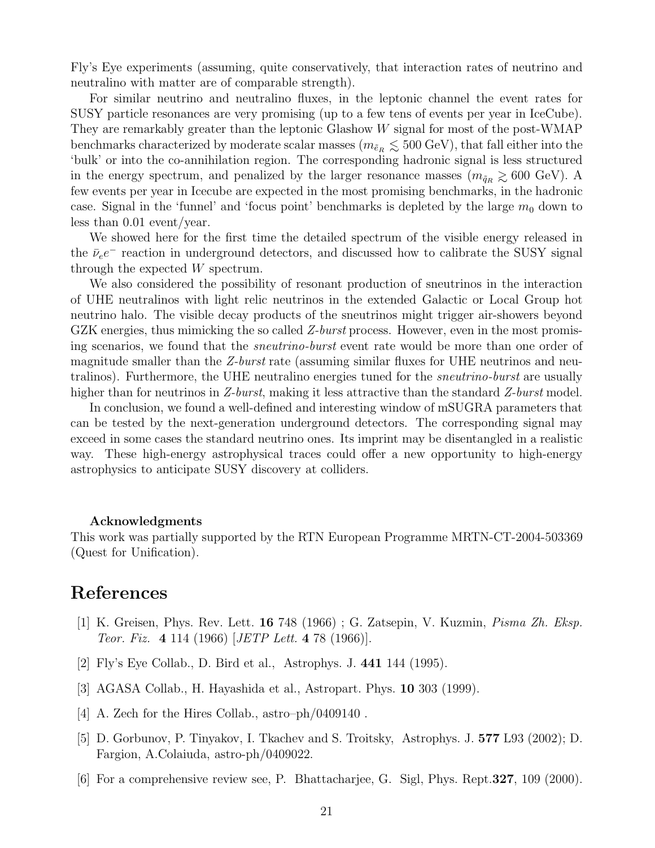Fly's Eye experiments (assuming, quite conservatively, that interaction rates of neutrino and neutralino with matter are of comparable strength).

For similar neutrino and neutralino fluxes, in the leptonic channel the event rates for SUSY particle resonances are very promising (up to a few tens of events per year in IceCube). They are remarkably greater than the leptonic Glashow W signal for most of the post-WMAP benchmarks characterized by moderate scalar masses  $(m_{\tilde{e}_R} \lesssim 500 \text{ GeV})$ , that fall either into the 'bulk' or into the co-annihilation region. The corresponding hadronic signal is less structured in the energy spectrum, and penalized by the larger resonance masses  $(m_{\tilde{q}_R} \geq 600 \text{ GeV})$ . A few events per year in Icecube are expected in the most promising benchmarks, in the hadronic case. Signal in the 'funnel' and 'focus point' benchmarks is depleted by the large  $m_0$  down to less than 0.01 event/year.

We showed here for the first time the detailed spectrum of the visible energy released in the  $\bar{\nu}_e e^-$  reaction in underground detectors, and discussed how to calibrate the SUSY signal through the expected W spectrum.

We also considered the possibility of resonant production of sneutrinos in the interaction of UHE neutralinos with light relic neutrinos in the extended Galactic or Local Group hot neutrino halo. The visible decay products of the sneutrinos might trigger air-showers beyond GZK energies, thus mimicking the so called  $Z$ -burst process. However, even in the most promising scenarios, we found that the sneutrino-burst event rate would be more than one order of magnitude smaller than the Z-burst rate (assuming similar fluxes for UHE neutrinos and neutralinos). Furthermore, the UHE neutralino energies tuned for the *sneutrino-burst* are usually higher than for neutrinos in Z-burst, making it less attractive than the standard Z-burst model.

In conclusion, we found a well-defined and interesting window of mSUGRA parameters that can be tested by the next-generation underground detectors. The corresponding signal may exceed in some cases the standard neutrino ones. Its imprint may be disentangled in a realistic way. These high-energy astrophysical traces could offer a new opportunity to high-energy astrophysics to anticipate SUSY discovery at colliders.

#### Acknowledgments

This work was partially supported by the RTN European Programme MRTN-CT-2004-503369 (Quest for Unification).

## References

- [1] K. Greisen, Phys. Rev. Lett. 16 748 (1966) ; G. Zatsepin, V. Kuzmin, Pisma Zh. Eksp. Teor. Fiz. 4 114 (1966) [JETP Lett. 4 78 (1966)].
- [2] Fly's Eye Collab., D. Bird et al., Astrophys. J. 441 144 (1995).
- [3] AGASA Collab., H. Hayashida et al., Astropart. Phys. 10 303 (1999).
- [4] A. Zech for the Hires Collab., astro–ph/0409140.
- [5] D. Gorbunov, P. Tinyakov, I. Tkachev and S. Troitsky, Astrophys. J. 577 L93 (2002); D. Fargion, A.Colaiuda, astro-ph/0409022.
- [6] For a comprehensive review see, P. Bhattacharjee, G. Sigl, Phys. Rept.327, 109 (2000).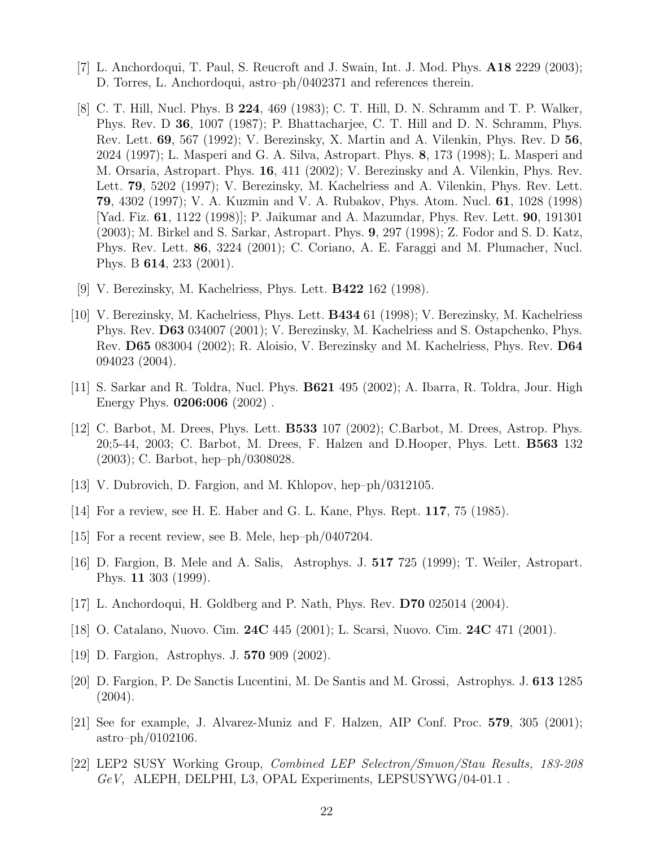- [7] L. Anchordoqui, T. Paul, S. Reucroft and J. Swain, Int. J. Mod. Phys. A18 2229 (2003); D. Torres, L. Anchordoqui, astro–ph/0402371 and references therein.
- [8] C. T. Hill, Nucl. Phys. B 224, 469 (1983); C. T. Hill, D. N. Schramm and T. P. Walker, Phys. Rev. D 36, 1007 (1987); P. Bhattacharjee, C. T. Hill and D. N. Schramm, Phys. Rev. Lett. 69, 567 (1992); V. Berezinsky, X. Martin and A. Vilenkin, Phys. Rev. D 56, 2024 (1997); L. Masperi and G. A. Silva, Astropart. Phys. 8, 173 (1998); L. Masperi and M. Orsaria, Astropart. Phys. 16, 411 (2002); V. Berezinsky and A. Vilenkin, Phys. Rev. Lett. 79, 5202 (1997); V. Berezinsky, M. Kachelriess and A. Vilenkin, Phys. Rev. Lett. 79, 4302 (1997); V. A. Kuzmin and V. A. Rubakov, Phys. Atom. Nucl. 61, 1028 (1998) [Yad. Fiz. 61, 1122 (1998)]; P. Jaikumar and A. Mazumdar, Phys. Rev. Lett. 90, 191301 (2003); M. Birkel and S. Sarkar, Astropart. Phys. 9, 297 (1998); Z. Fodor and S. D. Katz, Phys. Rev. Lett. 86, 3224 (2001); C. Coriano, A. E. Faraggi and M. Plumacher, Nucl. Phys. B 614, 233 (2001).
- [9] V. Berezinsky, M. Kachelriess, Phys. Lett. B422 162 (1998).
- [10] V. Berezinsky, M. Kachelriess, Phys. Lett. B434 61 (1998); V. Berezinsky, M. Kachelriess Phys. Rev. D63 034007 (2001); V. Berezinsky, M. Kachelriess and S. Ostapchenko, Phys. Rev. D65 083004 (2002); R. Aloisio, V. Berezinsky and M. Kachelriess, Phys. Rev. D64 094023 (2004).
- [11] S. Sarkar and R. Toldra, Nucl. Phys. B621 495 (2002); A. Ibarra, R. Toldra, Jour. High Energy Phys. 0206:006 (2002) .
- [12] C. Barbot, M. Drees, Phys. Lett. B533 107 (2002); C.Barbot, M. Drees, Astrop. Phys. 20;5-44, 2003; C. Barbot, M. Drees, F. Halzen and D.Hooper, Phys. Lett. B563 132 (2003); C. Barbot, hep–ph/0308028.
- [13] V. Dubrovich, D. Fargion, and M. Khlopov, hep–ph/0312105.
- [14] For a review, see H. E. Haber and G. L. Kane, Phys. Rept. 117, 75 (1985).
- [15] For a recent review, see B. Mele, hep–ph/0407204.
- [16] D. Fargion, B. Mele and A. Salis, Astrophys. J. 517 725 (1999); T. Weiler, Astropart. Phys. 11 303 (1999).
- [17] L. Anchordoqui, H. Goldberg and P. Nath, Phys. Rev. D70 025014 (2004).
- [18] O. Catalano, Nuovo. Cim. 24C 445 (2001); L. Scarsi, Nuovo. Cim. 24C 471 (2001).
- [19] D. Fargion, Astrophys. J. **570** 909 (2002).
- [20] D. Fargion, P. De Sanctis Lucentini, M. De Santis and M. Grossi, Astrophys. J. 613 1285 (2004).
- [21] See for example, J. Alvarez-Muniz and F. Halzen, AIP Conf. Proc. 579, 305 (2001); astro–ph/0102106.
- [22] LEP2 SUSY Working Group, Combined LEP Selectron/Smuon/Stau Results, 183-208 GeV, ALEPH, DELPHI, L3, OPAL Experiments, LEPSUSYWG/04-01.1 .